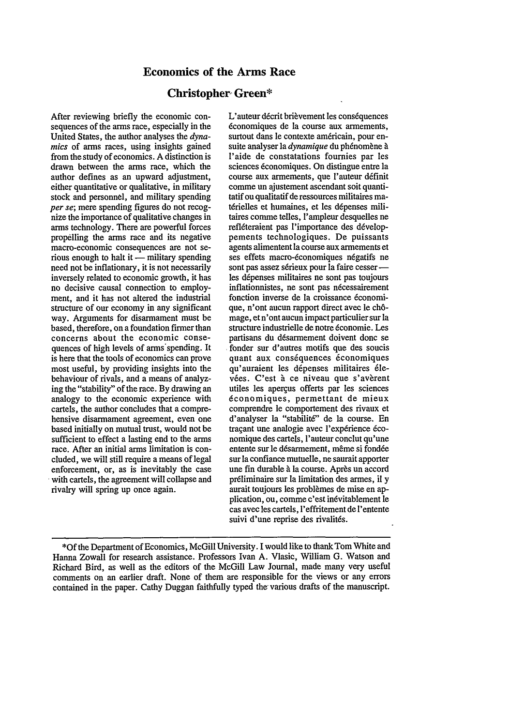## **Economics of the Arms Race**

#### **Christopher- Green\***

After reviewing briefly the economic consequences of the arms race, especially in the United States, the author analyses the *dynamics* of arms races, using insights gained from the study of economics. A distinction is drawn between the arms race, which the author defines as an upward adjustment, either quantitative or qualitative, in military stock and personnel, and military spending *per se;* mere spending figures do not recognize the importance of qualitative changes in arms technology. There are powerful forces propelling the arms race and its negative macro-economic consequences are not serious enough to halt it  $-$  military spending need not be inflationary, it is not necessarily inversely related to economic growth, it has no decisive causal connection to employment, and it has not altered the industrial structure of our economy in any significant way. Arguments for disarmament must be based, therefore, on a foundation firmer than concerns about the economic consequences of high levels of arms'spending. It is here that the tools of economics can prove most useful, by providing insights into the behaviour of rivals, and a means of analyzing the "stability" of the race. By drawing an analogy to the economic experience with cartels, the author concludes that a comprehensive disarmament agreement, even one based initially on mutual trust, would not be sufficient to effect a lasting end to the arms race. After an initial arms limitation is concluded, we will still require a means of legal enforcement, or, as is inevitably the case with cartels, the agreement will collapse and rivalry will spring up once again.

L'auteur décrit brièvement les conséquences dconomiques de la course aux armements, surtout dans le contexte américain, pour ensuite analyser la *dynamique* du phénomène à l'aide de constatations fournies par les sciences 6conomiques. On distingue entre la course aux armements, que l'auteur définit comme un ajustement ascendant soit quantitatifou qualitatif de ressources militaires matérielles et humaines, et les dépenses militaires comme telles, l'ampleur desquelles ne refléteraient pas l'importance des développements technologiques. De puissants agents alimentent la course aux armements et ses effets macro-économiques négatifs ne sont pas assez sérieux pour la faire cesser les dépenses militaires ne sont pas toujours inflationnistes, ne sont pas nécessairement fonction inverse de Ia croissance 6conomique, n'ont aucun rapport direct avec le chômage, et n'ont aucun impact particulier sur la structure industrielle de notre 6conomie. Les partisans du désarmement doivent donc se fonder sur d'autres motifs que des soucis quant aux conséquences économiques qu'auraient les dépenses militaires élevées. C'est à ce niveau que s'avèrent utiles les apergus offerts par les sciences 6conomiques, permettant de mieux comprendre le comportement des rivaux et d'analyser la "stabilité" de la course. En tracant une analogie avec l'expérience économique des cartels, l'auteur conclut qu'une entente sur le désarmement, même si fondée sur la confiance mutuelle, ne saurait apporter une fin durable à la course. Après un accord prdliminaire sur Ia limitation des armes, il y aurait toujours les problèmes de mise en application, ou, comme c'est inévitablement le cas avec les cartels, l'effritement de l'entente suivi d'une reprise des rivalités.

**<sup>\*</sup>Of** the Department of Economics, McGill University. I would like to thank Tom White and Hanna Zowall for research assistance. Professors Ivan A. Vlasic, William G. Watson and Richard Bird, as well as the editors of the McGill Law Journal, made many very useful comments on an earlier draft. None of them are responsible for the views or any errors contained in the paper. Cathy Duggan faithfully typed the various drafts of the manuscript.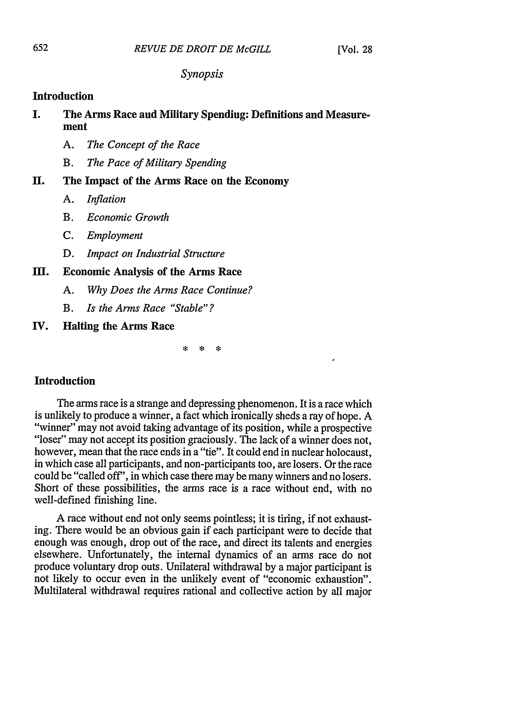### *Synopsis*

## **Introduction**

# **I. The Arms Race and Military Spending: Definitions and Measurement**

- *A. The Concept of the Race*
- *B. The Pace of Military Spending*

# **II. The Impact of the Arms Race on the Economy**

- *A. Inflation*
- *B. Economic Growth*
- *C. Employment*
- *D. Impact on Industrial Structure*

# **III. Economic Analysis of the Arms Race**

- *A. Why Does the Arms Race Continue?*
- *B. Is the Arms Race "Stable"?*
- **IV. Halting the Arms Race**

\* \* \*

#### **Introduction**

**The arms race is a strange and depressing phenomenon. It is a race** which is unlikely to produce a winner, a fact which ironically sheds a ray of hope. **A** "winner" may not avoid taking advantage of its position, while a prospective "loser" may not accept its position graciously. The lack of a winner does not, however, mean that the race ends in a "tie". It could end in nuclear holocaust, in which case all participants, and non-participants too, are losers. Or the race could be "called **off',** in which case there may be many winners and no losers. Short of these possibilities, the arms race is a race without end, with no well-defined finishing line.

**A** race without end not only seems pointless; it is tiring, if not exhausting. There would be an obvious gain if each participant were to decide that enough was enough, drop out of the race, and direct its talents and energies elsewhere. Unfortunately, the internal dynamics of an arms race do not produce voluntary drop outs. Unilateral withdrawal **by** a major participant is not likely to occur even in the unlikely event of "economic exhaustion". Multilateral withdrawal requires rational and collective action **by** all major

652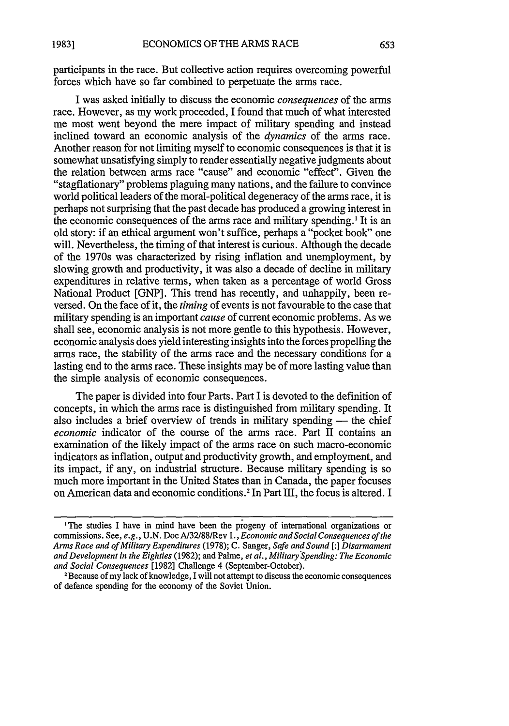participants in the race. But collective action requires overcoming powerful forces which have so far combined to perpetuate the arms race.

I was asked initially to discuss the economic *consequences* of the arms race. However, as my work proceeded, I found that much of what interested me most went beyond the mere impact of military spending and instead inclined toward an economic analysis of the *dynamics* of the arms race. Another reason for not limiting myself to economic consequences is that it is somewhat unsatisfying simply to render essentially negative judgments about the relation between arms race "cause" and economic "effect". Given the "stagflationary" problems plaguing many nations, and the failure to convince world political leaders of the moral-political degeneracy of the arms race, it is perhaps not surprising that the past decade has produced a growing interest in the economic consequences of the arms race and military spending.' It is an old story: if an ethical argument won't suffice, perhaps a "pocket book" one will. Nevertheless, the timing of that interest is curious. Although the decade of the 1970s was characterized by rising inflation and unemployment, by slowing growth and productivity, it was also a decade of decline in military expenditures in relative terms, when taken as a percentage of world Gross National Product [GNP]. This trend has recently, and unhappily, been reversed. On the face of it, the *timing* of events is not favourable to the case that military spending is an important *cause* of current economic problems. As we shall see, economic analysis is not more gentle to this hypothesis. However, economic analysis does yield interesting insights into the forces propelling the arms race, the stability of the arms race and the necessary conditions for a lasting end to the arms race. These insights may be of more lasting value than the simple analysis of economic consequences.

The paper is divided into four Parts. Part I is devoted to the definition of concepts, in which the arms race is distinguished from military spending. It also includes a brief overview of trends in military spending — the chief *economic* indicator of the course of the arms race. Part II contains an examination of the likely impact of the arms race on such macro-economic indicators as inflation, output and productivity growth, and employment, and its impact, if any, on industrial structure. Because military spending is so much more important in the United States than in Canada, the paper focuses on American data and economic conditions. 2 In Part III, the focus is altered. I

<sup>&#</sup>x27;The studies I have in mind have been the progeny of international organizations or commissions. See, *e.g.,* U.N. Doe A/32/88/Rev 1., *Economic and Social Consequences of the Arms Race and of Military Expenditures* (1978); C. Sanger, *Safe and Sound* [:] *Disarmament and Development in the Eighties* (1982); and Palme, *et al., Military Spending: The Economic and Social Consequences* [1982] Challenge 4 (September-October). <sup>2</sup>

Because of my lack of knowledge, I will not attempt to discuss the economic consequences of defence spending for the economy of the Soviet Union.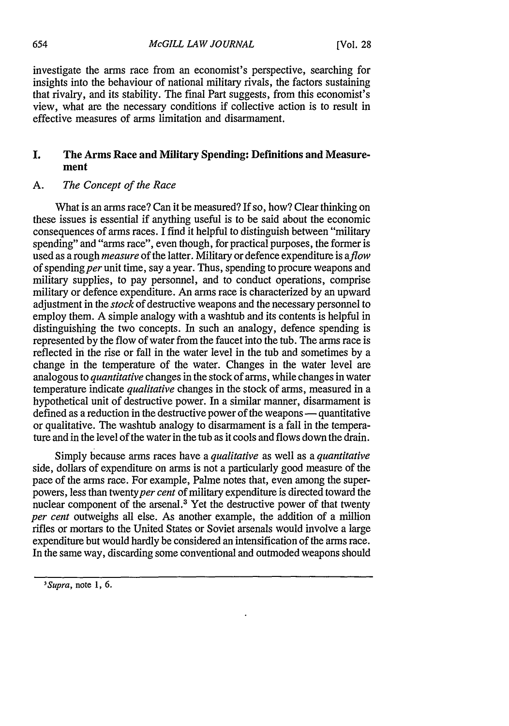investigate the arms race from an economist's perspective, searching for insights into the behaviour of national military rivals, the factors sustaining that rivalry, and its stability. The final Part suggests, from this economist's view, what are the necessary conditions if collective action is to result in effective measures of arms limitation and disarmament.

## **I. The Arms Race and Military Spending: Definitions and Measurement**

## **A.** *The Concept of the Race*

What is an arms race? Can it be measured? If so, how? Clear thinking on these issues is essential if anything useful is to be said about the economic consequences of arms races. I find it helpful to distinguish between "military spending" and "arms race", even though, for practical purposes, the former is used as a rough *measure* of the latter. Military or defence expenditure is *aflow* of spending per unit time, say a year. Thus, spending to procure weapons and military supplies, to pay personnel, and to conduct operations, comprise military or defence expenditure. An arms race is characterized by an upward adjustment in the *stock* of destructive weapons and the necessary personnel to employ them. A simple analogy with a washtub and its contents is helpful in distinguishing the two concepts. In such an analogy, defence spending is represented by the flow of water from the faucet into the tub. The arms race is reflected in the rise or fall in the water level in the tub and sometimes by a change in the temperature of the water. Changes in the water level are analogous to *quantitative* changes in the stock of arms, while changes in water temperature indicate *qualitative* changes in the stock of arms, measured in a hypothetical unit of destructive power. In a similar manner, disarmament is defined as a reduction in the destructive power of the weapons — quantitative or qualitative. The washtub analogy to disarmament is a fall in the temperature and in the level of the water in the tub as it cools and flows down the drain.

Simply because arms races have a *qualitative* as well as a *quantitative* side, dollars of expenditure on arms is not a particularly good measure of the pace of the arms race. For example, Palme notes that, even among the superpowers, less than twentyper *cent* of military expenditure is directed toward the nuclear component of the arsenal. 3 Yet the destructive power of that twenty *per cent* outweighs all else. As another example, the addition of a million rifles or mortars to the United States or Soviet arsenals would involve a large expenditure but would hardly be considered an intensification of the arms race. In the same way, discarding some conventional and outmoded weapons should

*<sup>&#</sup>x27;Supra,* note **1, 6.**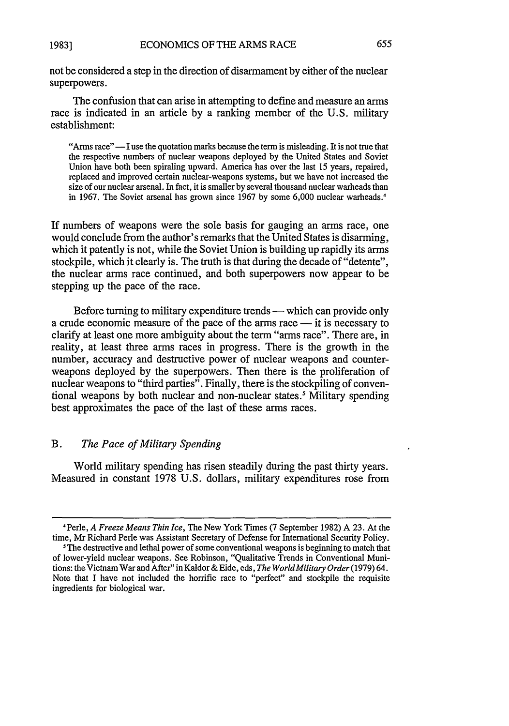not be considered a step in the direction of disarmament by either of the nuclear superpowers.

The confusion that can arise in attempting to define and measure an arms race is indicated in an article by a ranking member of the U.S. military establishment:

"Arms race" — I use the quotation marks because the term is misleading. It is not true that the respective numbers of nuclear weapons deployed by the United States and Soviet Union have both been spiraling upward. America has over the last 15 years, repaired, replaced and improved certain nuclear-weapons systems, but we have not increased the size of our nuclear arsenal. In fact, it is smaller by several thousand nuclear warheads than in 1967. The Soviet arsenal has grown since 1967 by some 6,000 nuclear warheads.<sup>4</sup>

If numbers of weapons were the sole basis for gauging an arms race, one would conclude from the author's remarks that the United States is disarming, which it patently is not, while the Soviet Union is building up rapidly its arms stockpile, which it clearly is. The truth is that during the decade of "detente", the nuclear arms race continued, and both superpowers now appear to be stepping up the pace of the race.

Before turning to military expenditure trends - which can provide only a crude economic measure of the pace of the arms race — it is necessary to clarify at least one more ambiguity about the term "arms race". There are, in reality, at least three arms races in progress. There is the growth in the number, accuracy and destructive power of nuclear weapons and counterweapons deployed by the superpowers. Then there is the proliferation of nuclear weapons to "third parties". Finally, there is the stockpiling of conventional weapons by both nuclear and non-nuclear states.' Military spending best approximates the pace of the last of these arms races.

## B. *The Pace of Military Spending*

World military spending has risen steadily during the past thirty years. Measured in constant 1978 U.S. dollars, military expenditures rose from

<sup>4</sup>Perle, *A Freeze Means Thin Ice,* The New York Times (7 September 1982) A 23. At the time, Mr Richard Perle was Assistant Secretary of Defense for International Security Policy.

The destructive and lethal power of some conventional weapons is beginning to match that of lower-yield nuclear weapons. See Robinson, "Qualitative Trends in Conventional Munitions: the Vietnam War and After" in Kaldor & Eide, eds, *The WorldMilitary Order* (1979) 64. Note that I have not included the horrific race to "perfect" and stockpile the requisite ingredients for biological war.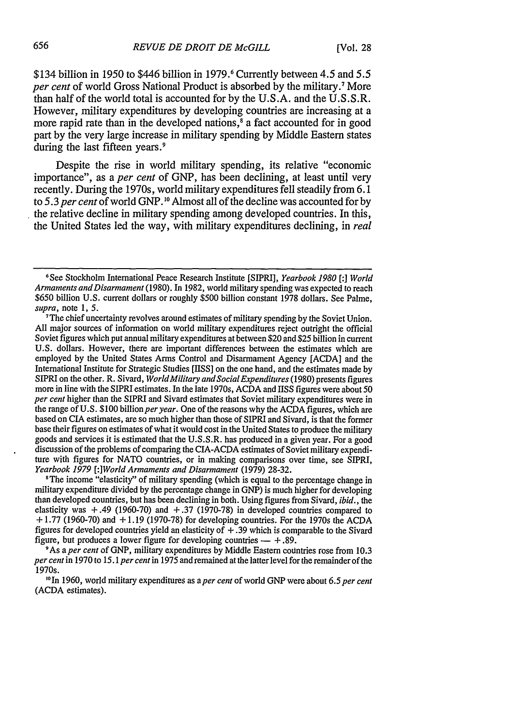\$134 billion in 1950 to \$446 billion in 1979.<sup>6</sup> Currently between 4.5 and 5.5 *per cent* of world Gross National Product is absorbed by the military.7 More than half of the world total is accounted for by the U.S.A. and the U.S.S.R. However, military expenditures by developing countries are increasing at a more rapid rate than in the developed nations,<sup>8</sup> a fact accounted for in good part by the very large increase in military spending by Middle Eastern states during the last fifteen years.<sup>9</sup>

Despite the rise in world military spending, its relative "economic importance", as a *per cent* of GNP, has been declining, at least until very recently. During the 1970s, world military expenditures fell steadily from 6.1 to 5.3 *per cent* of world GNP. **1 <sup>0</sup>**Almost all of the decline was accounted for by the relative decline in military spending among developed countries. In this, the United States led the way, with military expenditures declining, in *real*

<sup>8</sup>The income "elasticity" of military spending (which is equal to the percentage change in military expenditure divided by the percentage change in GNP) is much higher for developing than developed countries, but has been declining in both. Using figures from Sivard, *ibid.,* the elasticity was  $+.49$  (1960-70) and  $+.37$  (1970-78) in developed countries compared to **+** 1.77 (1960-70) and + 1.19 (1970-78) for developing countries. For the 1970s the ACDA figures for developed countries yield an elasticity of  $+$ . 39 which is comparable to the Sivard figure, but produces a lower figure for developing countries  $- + 0.89$ .

9As *aper cent* of GNP, military expenditures by Middle Eastern countries rose from 10,3 *per cent* in 1970 to 15.1 *per cent* in 1975 and remained at the latter level for the remainder of the 1970s.

**"In** 1960, world military expenditures as a *per cent* of world GNP were about *6.5 per cent* (ACDA estimates).

**<sup>6</sup>**See Stockholm International Peace Research Institute [SIPRI], *Yearbook 1980 [:J World Armaments andDisarmament* (1980). In 1982, world military spending was expected to reach \$650 billion U.S. current dollars or roughly \$500 billion constant 1978 dollars. See Palme, *supra,* note 1, *5.*

<sup>&</sup>lt;sup>7</sup>The chief uncertainty revolves around estimates of military spending by the Soviet Union. All major sources of information on world military expenditures reject outright the official Soviet figures which put annual military expenditures at between \$20 and \$25 billion in current U.S. dollars. However, there are important differences between the estimates which are employed by the United States Arms Control and Disarmament Agency [ACDA] and the International Institute for Strategic Studies [IISS] on the one hand, and the estimates made by SIPRI on the other. R. Sivard, *World Military and Social Expenditures* (1980) presents figures more in line with the SIPRI estimates. In the late 1970s, ACDA and IISS figures were about 50 *per cent* higher than the SIPRI and Sivard estimates that Soviet military expenditures were in the range of U.S. \$100 billion *per year*. One of the reasons why the ACDA figures, which are based on CIA estimates, are so much higher than those of SIPRI and Sivard, is that the former base their figures on estimates of what it would cost in the United States to produce the military goods and services it is estimated that the U.S.S.R. has produced in a given year. For a good discussion of the problems of comparing the CIA-ACDA estimates of Soviet military expendi**ture** with figures for NATO countries, or in making comparisons over time, see SIPRI, *Yearbook 1979 [:JWorld Armaments and Disarmament* (1979) 28-32.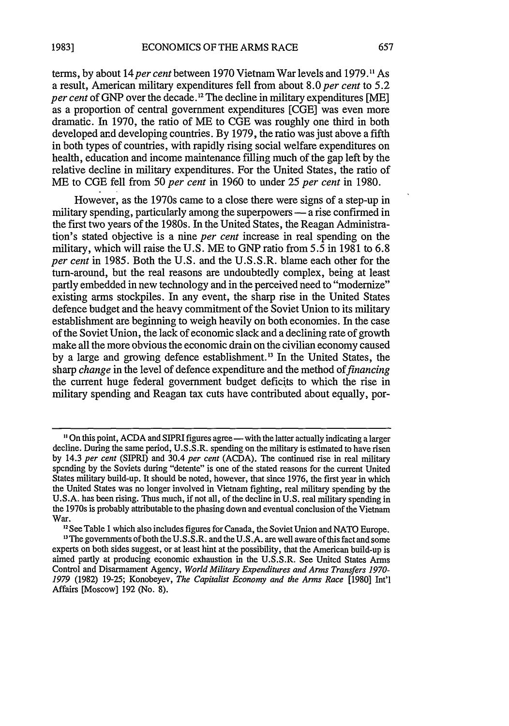terms, by about *14per cent* between 1970 Vietnam War levels and **1979.11** As a result, American military expenditures fell from about 8.0 *per cent* to 5.2 *per cent* of GNP over the decade.<sup>12</sup> The decline in military expenditures [ME] as a proportion of central government expenditures [CGE] was even more dramatic. In 1970, the ratio of ME to CGE was roughly one third in both developed and developing countries. By 1979, the ratio was just above a fifth in both types of countries, with rapidly rising social welfare expenditures on health, education and income maintenance filling much of the gap left by the relative decline in military expenditures. For the United States, the ratio of ME to CGE fell from 50 *per cent* in 1960 to under 25 *per cent* in 1980.

However, as the 1970s came to a close there were signs of a step-up in military spending, particularly among the superpowers — a rise confirmed in the first two years of the 1980s. In the United States, the Reagan Administration's stated objective is a nine *per cent* increase in real spending on the military, which will raise the U.S. ME to GNP ratio from 5.5 in 1981 to 6.8 *per cent* in 1985. Both the U.S. and the U.S.S.R. blame each other for the turn-around, but the real reasons are undoubtedly complex, being at least partly embedded in new technology and in the perceived need to "modernize" existing arms stockpiles. In any event, the sharp rise in the United States defence budget and the heavy commitment of the Soviet Union to its military establishment are beginning to weigh heavily on both economies. In the case of the Soviet Union, the lack of economic slack and a declining rate of growth make all the more obvious the economic drain on the civilian economy caused by a large and growing defence establishment.<sup>13</sup> In the United States, the sharp *change* in the level of defence expenditure and the method *of financing* the current huge federal government budget deficits to which the rise in military spending and Reagan tax cuts have contributed about equally, por-

**<sup>13</sup>The governments of both the U.S.S.R. and the U.S.A. are well aware of this fact and some** experts on both sides suggest, or at least hint at the possibility, that the American build-up is aimed partly at producing economic exhaustion in the U.S.S.R. See United States Arms Control and Disarmament Agency, *World Military Expenditures and Arms Transfers 1970- 1979* (1982) 19-25; Konobeyev, *The Capitalist Economy and the Arms Race* [1980] Int'l Affairs [Moscow] 192 (No. 8).

**<sup>&</sup>quot;On** this point, ACDA and SIPRI figures agree-with the latter actually indicating a larger decline. During the same period, U.S.S.R. spending on the military is estimated to have risen by 14.3 *per cent* (SIPRI) and 30.4 *per cent* (ACDA). The continued rise in real military spending by the Soviets during "detente" is one of the stated reasons for the current United States military build-up. It should be noted, however, that since 1976, the first year in which the United States was no longer involved in Vietnam fighting, real military spending by the U.S.A. has been rising. Thus much, if not all, of the decline in U.S. real military spending in the 1970s is probably attributable to the phasing down and eventual conclusion of the Vietnam War.<br><sup>2</sup> See Table 1 which also includes figures for Canada, the Soviet Union and NATO Europe.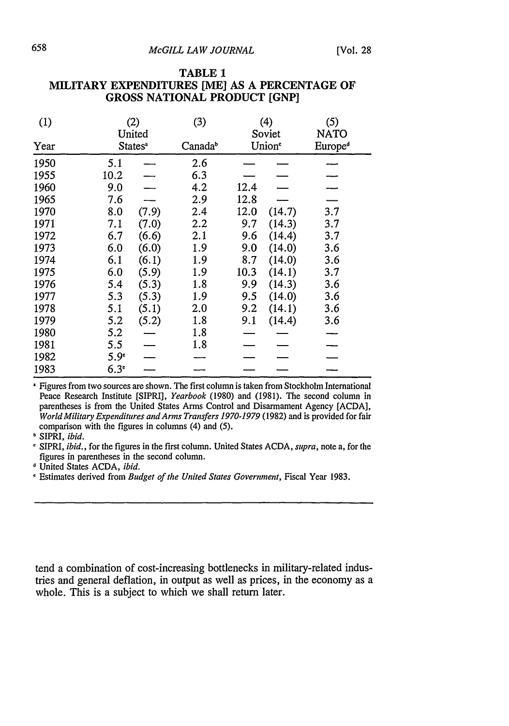| (1)  |                  | (2)<br>United       | (3)                 |      | (4)<br>Soviet      | (5)<br>NATO         |
|------|------------------|---------------------|---------------------|------|--------------------|---------------------|
| Year |                  | States <sup>a</sup> | Canada <sup>b</sup> |      | Union <sup>e</sup> | Europe <sup>d</sup> |
| 1950 | 5.1              |                     | 2.6                 |      |                    |                     |
| 1955 | 10.2             |                     | 6.3                 |      |                    |                     |
| 1960 | 9.0              |                     | 4.2                 | 12.4 |                    |                     |
| 1965 | 7.6              |                     | 2.9                 | 12.8 |                    |                     |
| 1970 | 8.0              | (7.9)               | 2.4                 | 12.0 | (14.7)             | 3.7                 |
| 1971 | 7.1              | (7.0)               | 2.2                 | 9.7  | (14.3)             | 3.7                 |
| 1972 | 6.7              | (6.6)               | 2.1                 | 9.6  | (14.4)             | 3.7                 |
| 1973 | 6.0              | (6.0)               | 1.9                 | 9.0  | (14.0)             | 3.6                 |
| 1974 | 6.1              | (6.1)               | 1.9                 | 8.7  | (14.0)             | 3.6                 |
| 1975 | 6.0              | (5.9)               | 1.9                 | 10.3 | (14.1)             | 3.7                 |
| 1976 | 5.4              | (5.3)               | 1.8                 | 9.9  | (14.3)             | 3.6                 |
| 1977 | 5.3              | (5.3)               | 1.9                 | 9.5  | (14.0)             | 3.6                 |
| 1978 | 5.1              | (5.1)               | 2.0                 | 9.2  | (14.1)             | 3.6                 |
| 1979 | 5.2              | (5.2)               | 1.8                 | 9.1  | (14.4)             | 3.6                 |
| 1980 | 5.2              |                     | 1.8                 |      |                    |                     |
| 1981 | 5.5              |                     | 1.8                 |      |                    |                     |
| 1982 | 5.9 <sup>°</sup> |                     |                     |      |                    |                     |
| 1983 | 6.3 <sup>°</sup> |                     |                     |      |                    |                     |

#### **TABLE 1 MILITARY EXPENDITURES [ME] AS A PERCENTAGE OF GROSS NATIONAL PRODUCT [GNP]**

Figures from two sources are shown. The first column is taken from Stockholm International Peace Research Institute [SIPRI], *Yearbook* (1980) and (1981). The second column in parentheses is from the United States Arms Control and Disarmament Agency [ACDA], *World Military Expenditures and Arms Transfers 1970-1979* (1982) and is provided for fair comparison with the figures in columns (4) and (5).

**b** SIPRI, *ibid.*

SIPRI, *ibid.,* for the figures in the first column. United States ACDA, supra, note a, for the figures in parentheses in the second column.

**d** United States ACDA, *ibid.*

**I** Estimates derived from *Budget of the United States Government,* Fiscal Year 1983.

tend a combination of cost-increasing bottlenecks in military-related industries and general deflation, in output as well as prices, in the economy as a whole. This is a subject to which we shall return later.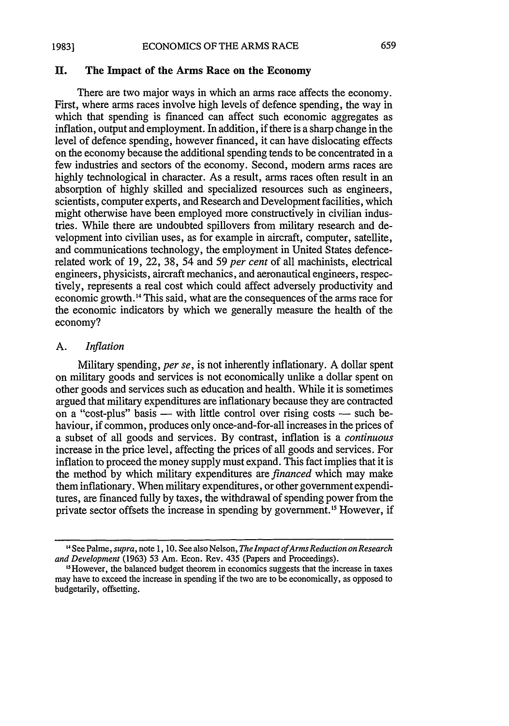#### ECONOMICS OF THE ARMS RACE **1983]**

## **II. The Impact of the Arms Race on the Economy**

There are two major ways in which an arms race affects the economy. First, where arms races involve high levels of defence spending, the way in which that spending is financed can affect such economic aggregates as inflation, output and employment. In addition, if there is a sharp change in the level of defence spending, however financed, it can have dislocating effects on the economy because the additional spending tends to be concentrated in a few industries and sectors of the economy. Second, modem arms races are highly technological in character. As a result, arms races often result in an absorption of highly skilled and specialized resources such as engineers, scientists, computer experts, and Research and Development facilities, which might otherwise have been employed more constructively in civilian industries. While there are undoubted spillovers from military research and development into civilian uses, as for example in aircraft, computer, satellite, and communications technology, the employment in United States defencerelated work of 19, 22, 38, 54 and 59 *per cent* of all machinists, electrical engineers, physicists, aircraft mechanics, and aeronautical engineers, respectively, represents a real cost which could affect adversely productivity and economic growth. 4 This said, what are the consequences of the arms race for the economic indicators by which we generally measure the health of the economy?

659

### A. *Inflation*

Military spending, *per se,* is not inherently inflationary. A dollar spent on military goods and services is not economically unlike a dollar spent on other goods and services such as education and health. While it is sometimes argued that military expenditures are inflationary because they are contracted on a "cost-plus" basis  $-$  with little control over rising costs  $-$  such behaviour, if common, produces only once-and-for-all increases in the prices of a subset of all goods and services. By contrast, inflation is a *continuous* increase in the price level, affecting the prices of all goods and services. For inflation to proceed the money supply must expand. This fact implies that it is the method by which military expenditures are *financed* which may make them inflationary. When military expenditures, or other government expenditures, are financed fully by taxes, the withdrawal of spending power from the private sector offsets the increase in spending by government.<sup>15</sup> However, if

<sup>,4</sup> See Palme, *supra,* note 1, 10. See also Nelson, *TheImpact ofArms Reduction on Research and Development* (1963) 53 Am. Econ. Rev. 435 (Papers and Proceedings).

<sup>&</sup>quot;However, the balanced budget theorem in economics suggests that the increase in taxes may have to exceed the increase in spending if the two are to be economically, as opposed to budgetarily, offsetting.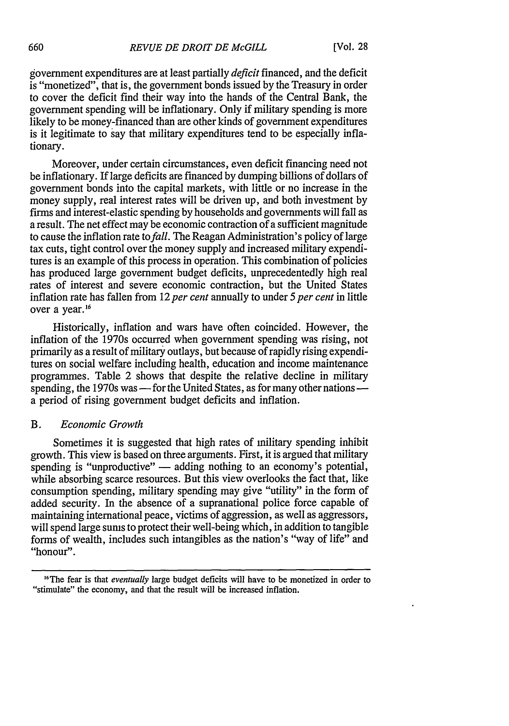government expenditures are at least partially *deficit* financed, and the deficit is "monetized", that is, the government bonds issued by the Treasury in order to cover the deficit find their way into the hands of the Central Bank, the government spending will be inflationary. Only if military spending is more likely to be money-financed than are other kinds of government expenditures is it legitimate to say that military expenditures tend to be especially inflationary.

Moreover, under certain circumstances, even deficit financing need not be inflationary. If large deficits are financed by dumping billions of dollars of government bonds into the capital markets, with little or no increase in the money supply, real interest rates will be driven up, and both investment by firms and interest-elastic spending by households and governments will fall as a result. The net effect may be economic contraction of a sufficient magnitude to cause the inflation rate to *fall.* The Reagan Administration's policy of large tax cuts, tight control over the money supply and increased military expenditures is an example of this process in operation. This combination of policies has produced large government budget deficits, unprecedentedly high real rates of interest and severe economic contraction, but the United States inflation rate has fallen from 12 *per cent* annually to under *5 per cent* in little over a year.<sup>16</sup>

Historically, inflation and wars have often coincided. However, the inflation of the 1970s occurred when government spending was rising, not primarily as a result of military outlays, but because of rapidly rising expenditures on social welfare including health, education and income maintenance programmes. Table 2 shows that despite the relative decline in military spending, the 1970s was — for the United States, as for many other nations a period of rising government budget deficits and inflation.

#### B. *Economic Growth*

Sometimes it is suggested that high rates of military spending inhibit growth. This view is based on three arguments. First, it is argued that military spending is "unproductive" — adding nothing to an economy's potential, while absorbing scarce resources. But this view overlooks the fact that, like consumption spending, military spending may give "utility" in the form of added security. In the absence of a supranational police force capable of maintaining international peace, victims of aggression, as well as aggressors, will spend large sums to protect their well-being which, in addition to tangible forms of wealth, includes such intangibles as the nation's "way of life" and "honour".

<sup>&</sup>lt;sup>16</sup>The fear is that *eventually* large budget deficits will have to be monetized in order to "stimulate" the economy, and that the result will be increased inflation.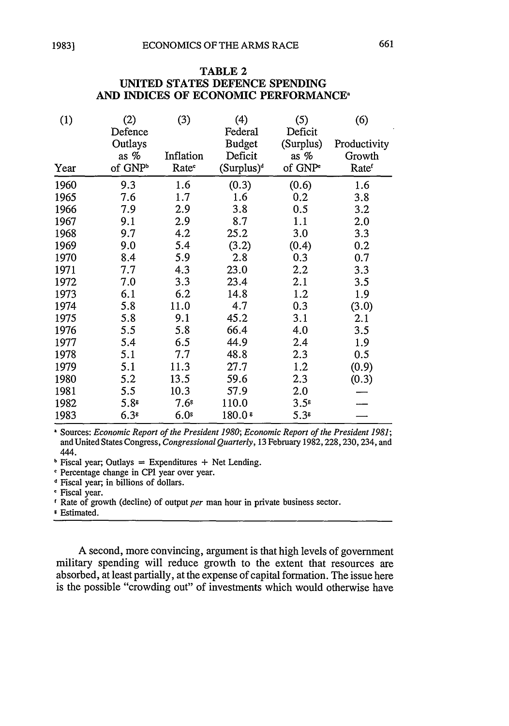TABLE 2

#### **UNITED STATES DEFENCE SPENDING AND** INDICES OF **ECONOMIC** PERFORMANCE (2) Defence Outlays as **%** of GNP<sup>b</sup> 9.3 **(3)** (4) Federal Budget Inflation Deficit Rate<sup>c</sup> (Surplus)<sup>d</sup> 1.6 (0.3) *(5)* Deficit (Surplus) as **%** of GNP' (0.6) (6) Productivity Growth Rate<sup>r</sup> 1.6 (1)

|      | as %                | Inflation         | Deficit       | as %                | Growth           |
|------|---------------------|-------------------|---------------|---------------------|------------------|
| Year | of GNP <sup>b</sup> | Rate <sup>c</sup> | $(Surplus)^d$ | of GNP <sup>e</sup> | Ratef            |
| 1960 | 9.3                 | 1.6               | (0.3)         | (0.6)               | 1.6              |
| 1965 | 7.6                 | 1.7               | 1.6           | 0.2                 | 3.8              |
| 1966 | 7.9                 | 2.9               | 3.8           | 0.5                 | $3.2\phantom{0}$ |
| 1967 | 9.1                 | 2.9               | 8.7           | 1.1                 | 2.0              |
| 1968 | 9.7                 | 4.2               | 25.2          | 3.0                 | 3.3              |
| 1969 | 9.0                 | 5.4               | (3.2)         | (0.4)               | 0.2              |
| 1970 | 8.4                 | 5.9               | 2.8           | 0.3                 | $0.7\,$          |
| 1971 | 7.7                 | 4.3               | 23.0          | $2.2\,$             | 3.3              |
| 1972 | 7.0                 | 3.3               | 23.4          | 2.1                 | 3.5              |
| 1973 | 6.1                 | 6.2               | 14.8          | 1.2                 | 1.9              |
| 1974 | 5.8                 | 11.0              | 4.7           | 0.3                 | (3.0)            |
| 1975 | 5.8                 | 9.1               | 45.2          | 3.1                 | 2.1              |
| 1976 | 5.5                 | 5.8               | 66.4          | 4.0                 | 3.5              |
| 1977 | 5.4                 | 6.5               | 44.9          | 2.4                 | 1.9              |
| 1978 | 5.1                 | 7.7               | 48.8          | 2.3                 | 0.5              |
| 1979 | 5.1                 | 11.3              | 27.7          | 1.2                 | (0.9)            |
| 1980 | 5.2                 | 13.5              | 59.6          | 2.3                 | (0.3)            |
| 1981 | 5.5                 | 10.3              | 57.9          | 2.0                 |                  |
| 1982 | 5.8 <sup>s</sup>    | $7.6^{\rm s}$     | 110.0         | $3.5^s$             |                  |
| 1983 | 6.3 <sup>s</sup>    | $6.0$ s           | $180.0*$      | 5.38                |                  |

Sources: *Economic Report of the President 1980; Economic Report of the President 1981;* and United States Congress, *Congressional Quarterly,* 13 February 1982, 228,230,234, and 444.

 $\overline{P}$  Fiscal year; Outlays = Expenditures + Net Lending.

'Percentage change in CPI year over year.

Fiscal year; in billions of dollars.

Fiscal year.

Rate of growth (decline) of output *per* man hour in private business sector.

Estimated.

A second, more convincing, argument is that high levels of government military spending will reduce growth to the extent that resources are absorbed, at least partially, at the expense of capital formation. The issue here is the possible "crowding out" of investments which would otherwise have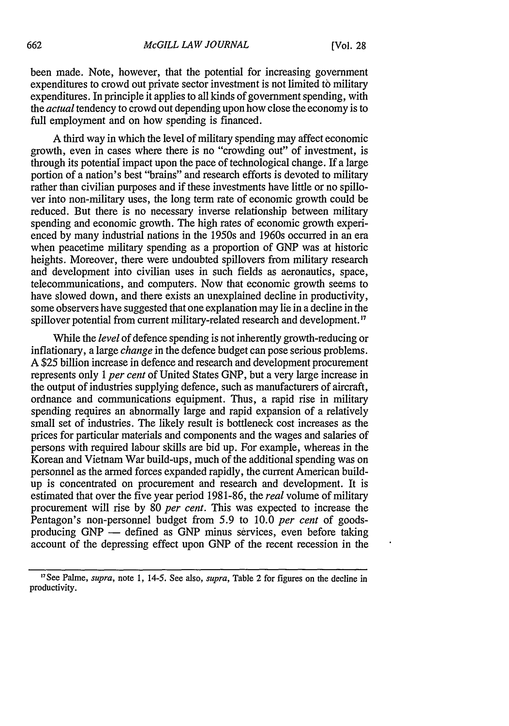been made. Note, however, that the potential for increasing government expenditures to crowd out private sector investment is not limited *t6* military expenditures. In principle it applies to all kinds of government spending, with the *actual* tendency to crowd out depending upon how close the economy is to full employment and on how spending is financed.

A third way in which the level of military spending may affect economic growth, even in cases where there is no "crowding out" of investment, is through its potential' impact upon the pace of technological change. If a large portion of a nation's best "brains" and research efforts is devoted to military rather than civilian purposes and if these investments have little or no spillover into non-military uses, the long term rate of economic growth could be reduced. But there is no necessary inverse relationship between military spending and economic growth. The high rates of economic growth experienced by many industrial nations in the 1950s and 1960s occurred in an era when peacetime military spending as a proportion of GNP was at historic heights. Moreover, there were undoubted spillovers from military research and development into civilian uses in such fields as aeronautics, space, telecommunications, and computers. Now that economic growth seems to have slowed down, and there exists an unexplained decline in productivity, some observers have suggested that one explanation may lie in a decline in the spillover potential from current military-related research and development.<sup>17</sup>

While the *level* of defence spending is not inherently growth-reducing or inflationary, a large *change* in the defence budget can pose serious problems. A \$25 billion increase in defence and research and development procurement represents only 1 *per cent* of United States GNP, but a very large increase in the output of industries supplying defence, such as manufacturers of aircraft, ordnance and communications equipment. Thus, a rapid rise in military spending requires an abnormally large and rapid expansion of a relatively small set of industries. The likely result is bottleneck cost increases as the prices for particular materials and components and the wages and salaries of persons with required labour skills are bid up. For example, whereas in the Korean and Vietnam War build-ups, much of the additional spending was on personnel as the armed forces expanded rapidly, the current American buildup is concentrated on procurement and research and development. It is estimated that over the five year period 1981-86, the *real* volume of military procurement will rise by 80 *per cent.* This was expected to increase the Pentagon's non-personnel budget from 5.9 to 10.0 *per cent* of goodsproducing GNP - defined as GNP minus services, even before taking account of the depressing effect upon GNP of the recent recession in the

<sup>&</sup>quot;See Palme, *supra,* note **1,** 14-5. See also, *supra,* Table 2 for figures on the decline in productivity.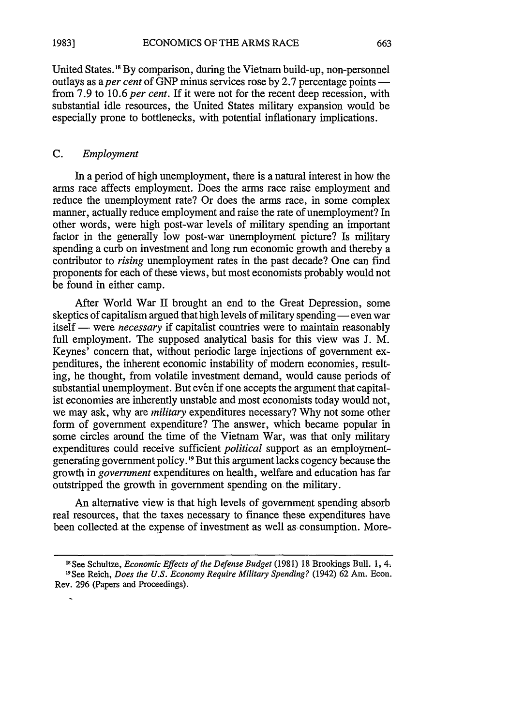ECONOMICS OF THE ARMS RACE **1983]**

United States.'" By comparison, during the Vietnam build-up, non-personnel outlays as a *per cent* of GNP minus services rose by 2.7 percentage points from 7.9 to 10.6 *per cent.* If it were not for the recent deep recession, with substantial idle resources, the United States military expansion would be especially prone to bottlenecks, with potential inflationary implications.

#### C. *Employment*

In a period of high unemployment, there is a natural interest in how the arms race affects employment. Does the arms race raise employment and reduce the unemployment rate? Or does the arms race, in some complex manner, actually reduce employment and raise the rate of unemployment? In other words, were high post-war levels of military spending an important factor in the generally low post-war unemployment picture? Is military spending a curb on investment and long run economic growth and thereby a contributor to *rising* unemployment rates in the past decade? One can find proponents for each of these views, but most economists probably would not be found in either camp.

After World War II brought an end to the Great Depression, some skeptics of capitalism argued that high levels of military spending — even war itself — were *necessary* if capitalist countries were to maintain reasonably full employment. The supposed analytical basis for this view was J. M. Keynes' concern that, without periodic large injections of government expenditures, the inherent economic instability of modern economies, resulting, he thought, from volatile investment demand, would cause periods of substantial unemployment. But even if one accepts the argument that capitalist economies are inherently unstable and most economists today would not, we may ask, why are *military* expenditures necessary? Why not some other form of government expenditure? The answer, which became popular in some circles around the time of the Vietnam War, was that only military expenditures could receive sufficient *political* support as an employmentgenerating government policy.<sup>19</sup> But this argument lacks cogency because the growth in *government* expenditures on health, welfare and education has far outstripped the growth in government spending on the military.

An alternative view is that high levels of government spending absorb real resources, that the taxes necessary to finance these expenditures have been collected at the expense of investment as well as consumption. More-

**<sup>&</sup>quot;** See Schultze, *Economic Effects of the Defense Budget* (1981) 18 Brookings Bull. 1, 4. 19See Reich, *Does the U.S. Economy Require Military Spending?* (1942) 62 Am. Econ. Rev. 296 (Papers and Proceedings).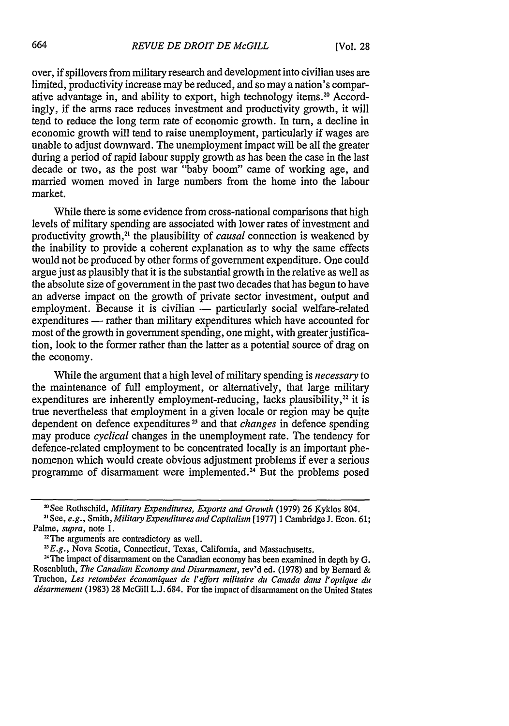over, if spillovers from military research and development into civilian uses are limited, productivity increase may be reduced, and so may a nation's comparative advantage in, and ability to export, high technology items.20 Accordingly, if the arms race reduces investment and productivity growth, it will tend to reduce the long term rate of economic growth. In turn, a decline in economic growth will tend to raise unemployment, particularly if wages are unable to adjust downward. The unemployment impact will be all the greater during a period of rapid labour supply growth as has been the case in the last decade or two, as the post war "baby boom" came of working age, and married women moved in large numbers from the home into the labour market.

While there is some evidence from cross-national comparisons that high levels of military spending are associated with lower rates of investment and productivity growth,<sup>21</sup> the plausibility of *causal* connection is weakened by the inability to provide a coherent explanation as to why the same effects would not be produced by other forms of government expenditure. One could argue just as plausibly that it is the substantial growth in the relative as well as the absolute size of government in the past two decades that has begun to have an adverse impact on the growth of private sector investment, output and employment. Because it is civilian - particularly social welfare-related expenditures - rather than military expenditures which have accounted for most of the growth in government spending, one might, with greater justification, look to the former rather than the latter as a potential source of drag on the economy.

While the argument that a high level of military spending is *necessary* to the maintenance of full employment, or alternatively, that large military expenditures are inherently employment-reducing, lacks plausibility, $^{22}$  it is true nevertheless that employment in a given locale or region may be quite dependent on defence expenditures **2** and that *changes* in defence spending may produce *cyclical* changes in the unemployment rate. The tendency for defence-related employment to be concentrated locally is an important phenomenon which would create obvious adjustment problems if ever a serious programme of disarmament were implemented.<sup> $34$ </sup> But the problems posed

<sup>&</sup>lt;sup>20</sup> See Rothschild, *Military Expenditures, Exports and Growth* (1979) 26 Kyklos 804. See, *e.g.,* Smith, *Military Expenditures and Capitalism* [1977] 1 CambridgeJ. Econ. 61; Palme, *supra,* note 1.

<sup>&</sup>lt;sup>22</sup>The arguments are contradictory as well.

<sup>&</sup>lt;sup>23</sup> E.g., Nova Scotia, Connecticut, Texas, California, and Massachusetts.

<sup>&</sup>lt;sup>24</sup> The impact of disarmament on the Canadian economy has been examined in depth by  $G$ . Rosenbluth, *The Canadian Economy and Disarmament,* rev'd ed. (1978) and by Bernard & Truchon, *Les retombdes iconomiques de l'effort militaire* **du** *Canada dans l'optique* **du** *disarmement* (1983) 28 McGill L.J. 684. For the impact of disarmament on the United States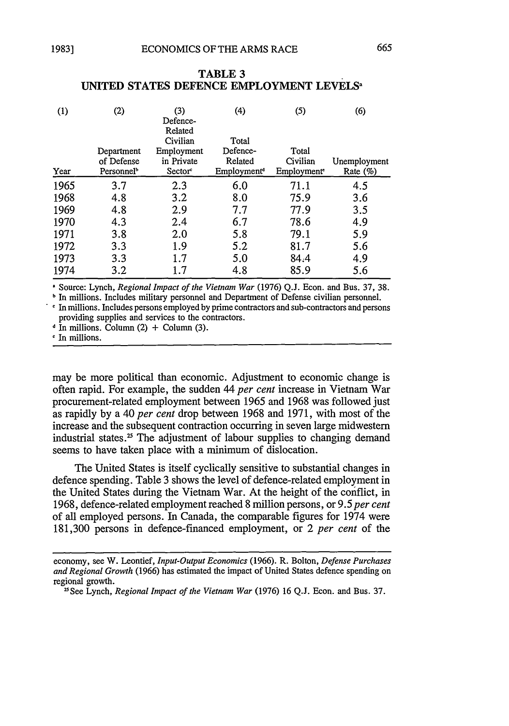| (1)  | (2)                                                | (3)<br>Defence-<br>Related<br>Civilian | (4)<br>Total                                   | (5)                                          | (6)                         |
|------|----------------------------------------------------|----------------------------------------|------------------------------------------------|----------------------------------------------|-----------------------------|
| Year | Department<br>of Defense<br>Personnel <sup>b</sup> | Employment<br>in Private<br>Sector     | Defence-<br>Related<br>Employment <sup>4</sup> | Total<br>Civilian<br>Employment <sup>®</sup> | Unemployment<br>Rate $(\%)$ |
| 1965 | 3.7                                                | 2.3                                    | 6.0                                            | 71.1                                         | 4.5                         |
| 1968 | 4.8                                                | 3.2                                    | 8.0                                            | 75.9                                         | 3.6                         |
| 1969 | 4.8                                                | 2.9                                    | 7.7                                            | 77.9                                         | 3.5                         |
| 1970 | 4.3                                                | 2.4                                    | 6.7                                            | 78.6                                         | 4.9                         |
| 1971 | 3.8                                                | 2.0                                    | 5.8                                            | 79.1                                         | 5.9                         |
| 1972 | 3.3                                                | 1.9                                    | 5.2                                            | 81.7                                         | 5.6                         |
| 1973 | 3.3                                                | 1.7                                    | 5.0                                            | 84.4                                         | 4.9                         |

#### **TABLE 3 UNITED STATES DEFENCE EMPLOYMENT LEVELS<sup>a</sup>**

**1** Source: Lynch, *Regional Impact of the Vietnam War* (1976) Q.J. Econ. and Bus. 37, 38.

1974 3.2 1.7 4.8 85.9 5.6

**b** In millions. Includes military personnel and Department of Defense civilian personnel. 'In millions. Includes persons employed by prime contractors and sub-contractors and persons providing supplies and services to the contractors.

 $\cdot$  In millions. Column (2) + Column (3).

In millions.

may be more political than economic. Adjustment to economic change is often rapid. For example, the sudden 44 *per cent* increase in Vietnam War procurement-related employment between 1965 and 1968 was followed just as rapidly by a 40 *per cent* drop between 1968 and 1971, with most of the increase and the subsequent contraction occurring in seven large midwestern industrial states.<sup>25</sup> The adjustment of labour supplies to changing demand seems to have taken place with a minimum of dislocation.

The United States is itself cyclically sensitive to substantial changes in defence spending. Table 3 shows the level of defence-related employment in the United States during the Vietnam War. At the height of the conflict, in 1968, defence-related employment reached 8 million persons, or 9.5 *per cent* of all employed persons. In Canada, the comparable figures for 1974 were 181,300 persons in defence-financed employment, or 2 *per cent* of the

economy, see W. Leontief, *Input-Output Economics* (1966). R. Bolton, *Defense Purchases and Regional Growth* (1966) has estimated the impact of United States defence spending on regional growth.

<sup>2</sup>See Lynch, *Regional Impact of the Vietnam War* (1976) 16 Q.J. Econ. and Bus. 37.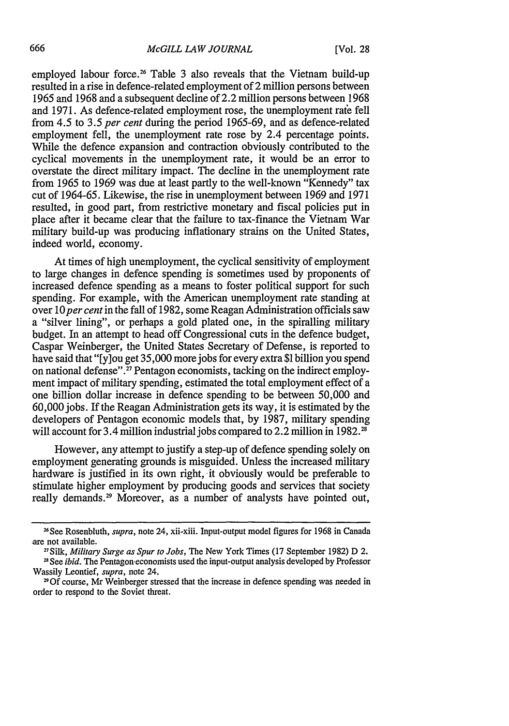employed labour force.<sup>26</sup> Table 3 also reveals that the Vietnam build-up resulted in a rise in defence-related employment of 2 million persons between 1965 and 1968 and a subsequent decline of 2.2 million persons between 1968 and 1971. As defence-related employment rose, the unemployment rate fell from 4.5 to 3.5 *per cent* during the period 1965-69, and as defence-related employment fell, the unemployment rate rose by 2.4 percentage points. While the defence expansion and contraction obviously contributed to the cyclical movements in the unemployment rate, it would be an error to overstate the direct military impact. The decline in the unemployment rate from 1965 to 1969 was due at least partly to the well-known "Kennedy" tax cut of 1964-65. Likewise, the rise in unemployment between 1969 and 1971 resulted, in good part, from restrictive monetary and fiscal policies put in place after it became clear that the failure to tax-finance the Vietnam War military build-up was producing inflationary strains on the United States, indeed world, economy.

At times of high unemployment, the cyclical sensitivity of employment to large changes in defence spending is sometimes used by proponents of increased defence spending as a means to foster political support for such spending. For example, with the American unemployment rate standing at over 10 per cent in the fall of 1982, some Reagan Administration officials saw a "silver lining", or perhaps a gold plated one, in the spiralling military budget. In an attempt to head off Congressional cuts in the defence budget, Caspar Weinberger, the United States Secretary of Defense, is reported to have said that "[y]ou get 35,000 more jobs for every extra **\$1** billion you spend on national defense".<sup>27</sup> Pentagon economists, tacking on the indirect employment impact of military spending, estimated the total employment effect of a one billion dollar increase in defence spending to be between 50,000 and 60,000 jobs. If the Reagan Administration gets its way, it is estimated by the developers of Pentagon economic models that, by 1987, military spending will account for 3.4 million industrial jobs compared to 2.2 million in 1982.<sup>28</sup>

However, any attempt to justify a step-up of defence spending solely on employment generating grounds is misguided. Unless the increased military hardware is justified in its own right, it obviously would be preferable to stimulate higher employment by producing goods and services that society really demands.<sup>29</sup> Moreover, as a number of analysts have pointed out,

<sup>&</sup>lt;sup>26</sup> See Rosenbluth, *supra*, note 24, xii-xiii. Input-output model figures for 1968 in Canada are not available.

<sup>2</sup>Silk, *Military Surge as Spur to Jobs,* The New York Times (17 September 1982) D 2. <sup>28</sup> See *ibid*. The Pentagon-economists used the input-output analysis developed by Professor

Wassily Leontief, *supra,* note 24.

<sup>&</sup>lt;sup>29</sup> Of course, Mr Weinberger stressed that the increase in defence spending was needed in order to respond to the Soviet threat.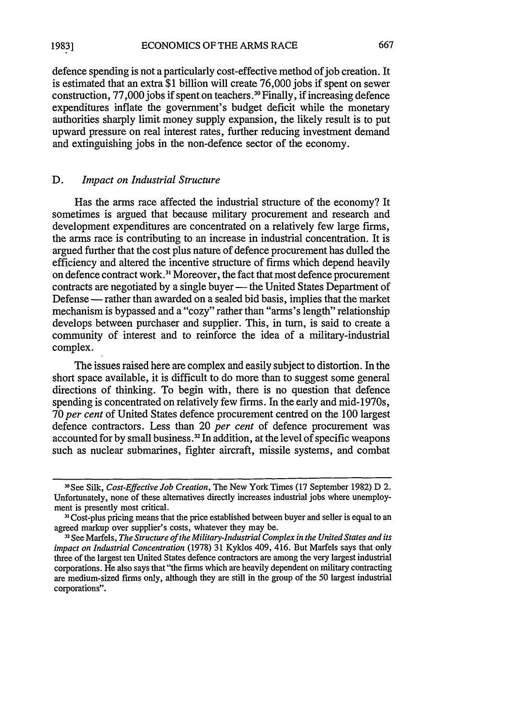ECONOMICS OF THE ARMS RACE **1983]**

defence spending is not a particularly cost-effective method of job creation. It is estimated that an extra \$1 billion will create 76,000 jobs if spent on sewer construction, 77,000 jobs if spent on teachers.<sup>30</sup> Finally, if increasing defence expenditures inflate the government's budget deficit while the monetary authorities sharply limit money supply expansion, the likely result is to put upward pressure on real interest rates, further reducing investment demand and extinguishing jobs in the non-defence sector of the economy.

#### D. *Impact on Industrial Structure*

Has the arms race affected the industrial structure of the economy? It sometimes is argued that because military procurement and research and development expenditures are concentrated on a relatively few large firms, the arms race is contributing to an increase in industrial concentration. It is argued further that the cost plus nature of defence procurement has dulled the efficiency and altered the incentive structure of firms which depend heavily on defence contract work.<sup>31</sup> Moreover, the fact that most defence procurement contracts are negotiated by a single buyer — the United States Department of Defense - rather than awarded on a sealed bid basis, implies that the market mechanism is bypassed and a "cozy" rather than "arms's length" relationship develops between purchaser and supplier. This, in turn, is said to create a community of interest and to reinforce the idea of a military-industrial complex.

The issues raised here are complex and easily subject to distortion. In the short space available, it is difficult to do more than to suggest some general directions of thinking. To begin with, there is no question that defence spending is concentrated on relatively few firms. In the early and mid-1970s, 70 *per cent* of United States defence procurement centred on the 100 largest defence contractors. Less than 20 *per cent* of defence procurement was accounted for by small business.<sup>32</sup> In addition, at the level of specific weapons such as nuclear submarines, fighter aircraft, missile systems, and combat

**<sup>1</sup> 0 See** Silk, *Cost-Effective Job Creation,* The New York Times (17 September 1982) D 2. Unfortunately, none of these alternatives directly increases industrial jobs where unemployment is presently most critical.

**<sup>31</sup> Cost-plus** pricing means that the price established between buyer and seller is equal to an agreed markup over supplier's costs, whatever they may be.

**<sup>1</sup> <sup>2</sup>**See Marfels, *The Structure of the Military-Industrial Complex in the United States and its impact on Industrial Concentration* (1978) 31 Kyklos 409, 416. But Marfels says that only three of the largest ten United States defence contractors are among the very largest industrial corporations. He also says that "the firms which are heavily dependent on military contracting are medium-sized firms only, although they are still in the group of the 50 largest industrial corporations".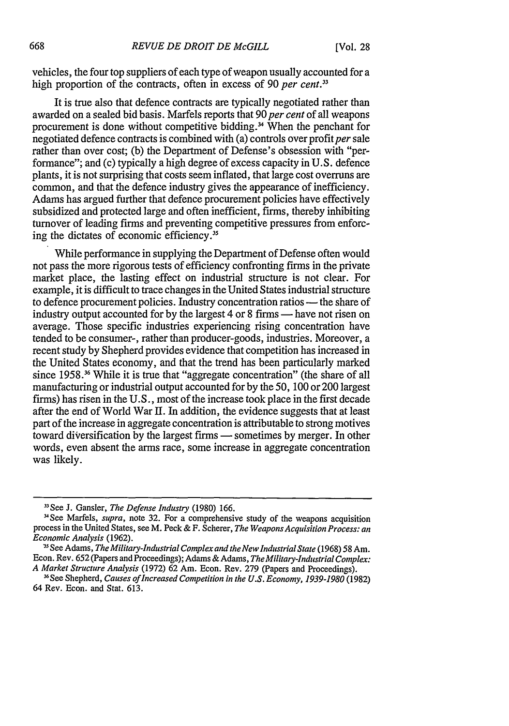vehicles, the four top suppliers of each type of weapon usually accounted for a high proportion of the contracts, often in excess of 90 *per cent*.<sup>33</sup>

It is true also that defence contracts are typically negotiated rather than awarded on a sealed bid basis. Marfels reports that 90 *per cent* of all weapons procurement is done without competitive bidding.<sup>34</sup> When the penchant for negotiated defence contracts is combined with  $(a)$  controls over profit per sale rather than over cost; (b) the Department of Defense's obsession with "performance"; and (c) typically a high degree of excess capacity in U.S. defence plants, it is not surprising that costs seem inflated, that large cost overruns are common, and that the defence industry gives the appearance of inefficiency. Adams has argued further that defence procurement policies have effectively subsidized and protected large and often inefficient, firms, thereby inhibiting turnover of leading firms and preventing competitive pressures from enforcing the dictates of economic efficiency.<sup>35</sup>

While performance in supplying the Department of Defense often would not pass the more rigorous tests of efficiency confronting firms in the private market place, the lasting effect on industrial structure is not clear. For example, it is difficult to trace changes in the United States industrial structure to defence procurement policies. Industry concentration ratios — the share of industry output accounted for by the largest 4 or 8 firms **-** have not risen on average. Those specific industries experiencing rising concentration have tended to be consumer-, rather than producer-goods, industries. Moreover, a recent study by Shepherd provides evidence that competition has increased in the United States economy, and that the trend has been particularly marked since 1958.<sup>36</sup> While it is true that "aggregate concentration" (the share of all manufacturing or industrial output accounted for by the 50, 100 or 200 largest firms) has risen in the U.S., most of the increase took place in the first decade after the end of World War II. In addition, the evidence suggests that at least part of the increase in aggregate concentration is attributable to strong motives toward diversification by the largest firms - sometimes by merger. In other words, even absent the arms race, some increase in aggregate concentration was likely.

<sup>33</sup> See J. Gansler, *The Defense Industry* (1980) 166.

<sup>&#</sup>x27;See Marfels, *supra,* note 32. For a comprehensive study of the weapons acquisition process in the United States, see M. Peck & F. Scherer, *The Weapons Acquisition Process: an Economic Analysis* (1962).

SeeAdams, *The Military-Industrial Complex and the New Industrial State* (1968) 58 Am. Econ. Rev. 652 (Papers and Proceedings); Adams & Adams, *TheMilitary-Industrial Complex: A Market Structure Analysis* (1972) 62 Am. Econ. Rev. 279 (Papers and Proceedings).

<sup>&</sup>lt;sup>36</sup> See Shepherd, *Causes of Increased Competition in the U.S. Economy, 1939-1980* (1982) 64 Rev. Econ. and Stat. 613.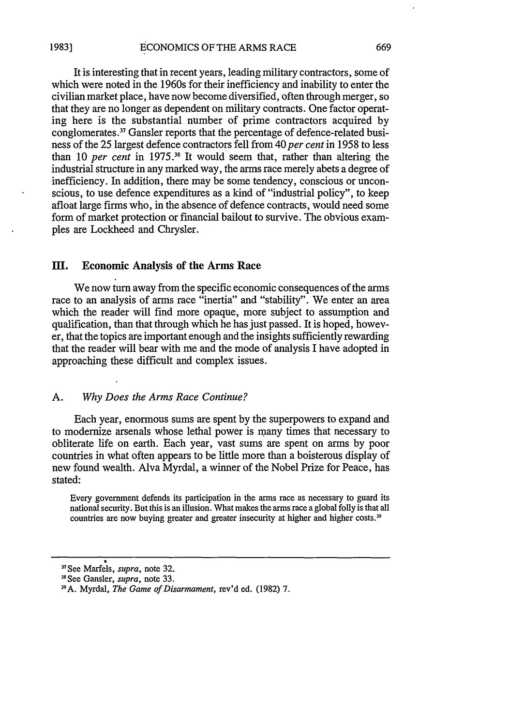It is interesting that in recent years, leading military contractors, some of which were noted in the 1960s for their inefficiency and inability to enter the civilian market place, have now become diversified, often through merger, so that they are no longer as dependent on military contracts. One factor operating here is the substantial number of prime contractors acquired by conglomerates.37 Gansler reports that the percentage of defence-related business of the 25 largest defence contractors fell from 40 *per cent* in 1958 to less than 10 *per cent* in 1975.<sup>38</sup> It would seem that, rather than altering the industrial structure in any marked way, the arms race merely abets a degree of inefficiency. In addition, there may be some tendency, conscious or unconscious, to use defence expenditures as a kind of "industrial policy", to keep afloat large firms who, in the absence of defence contracts, would need some form of market protection or financial bailout to survive. The obvious examples are Lockheed and Chrysler.

### M. Economic Analysis of **the Arms Race**

We now turn away from the specific economic consequences of the arms race to an analysis of arms race "inertia" and "stability". We enter an area which the reader will find more opaque, more subject to assumption and qualification, than that through which he has just passed. It is hoped, however, that the topics are important enough and the insights sufficiently rewarding that the reader will bear with me and the mode of analysis **I** have adopted in approaching these difficult and complex issues.

#### **A.** *Why Does the Arms Race Continue?*

Each year, enormous sums are spent **by** the superpowers to expand and to modernize arsenals whose lethal power is many times that necessary to obliterate life on earth. Each year, vast sums are spent on arms **by** poor countries in what often appears to be little more than a boisterous display of new found wealth. Alva Myrdal, a winner of the Nobel Prize for Peace, has stated:

Every government defends its participation in the arms race as necessary to guard its national security. But this is an illusion. What makes the arms race a global folly is that all countries are now buying greater and greater insecurity at higher and higher costs.<sup>39</sup>

<sup>3</sup> See Marfels, *supra,* note **32.**

<sup>38</sup> See Gansler, *supra,* note 33.

<sup>39</sup> A. Myrdal, *The Game of Disarmament,* rev'd ed. (1982) 7.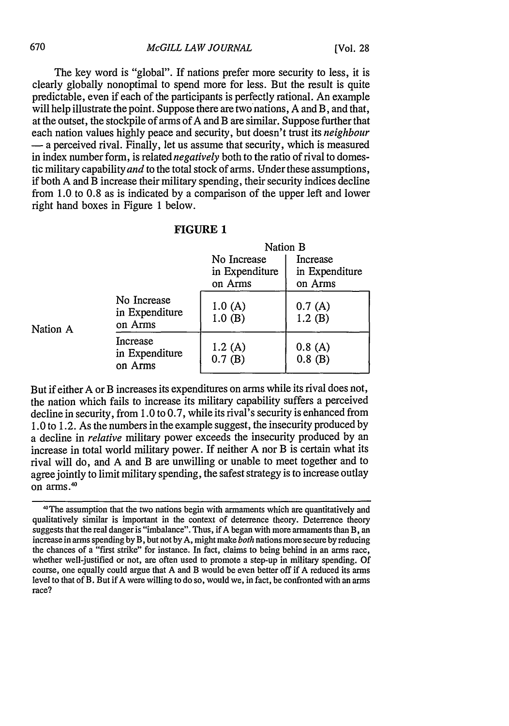The key word is "global". If nations prefer more security to less, it is clearly globally nonoptimal to spend more for less. But the result is quite predictable, even if each of the participants is perfectly rational. An example will help illustrate the point. Suppose there are two nations, A and B, and that, at the outset, the stockpile of arms of A and B are similar. Suppose further that each nation values highly peace and security, but doesn't trust its *neighbour* **-** a perceived rival. Finally, let us assume that security, which is measured in index number form, is related *negatively* both to the ratio of rival to domestic military capability *and* to the total stock of arms. Under these assumptions, if both A and B increase their military spending, their security indices decline from **1.0** to 0.8 as is indicated by a comparison of the upper left and lower right hand boxes in Figure 1 below.

| FIGURE 1 |  |
|----------|--|
|----------|--|

|          |                                          | Nation B                                 |                                       |  |
|----------|------------------------------------------|------------------------------------------|---------------------------------------|--|
|          |                                          | No Increase<br>in Expenditure<br>on Arms | Increase<br>in Expenditure<br>on Arms |  |
| Nation A | No Increase<br>in Expenditure<br>on Arms | 1.0(A)<br>1.0(B)                         | 0.7(A)<br>1.2(B)                      |  |
|          | Increase<br>in Expenditure<br>on Arms    | 1.2(A)<br>0.7(B)                         | 0.8(A)<br>$0.8$ (B)                   |  |

But if either A or B increases its expenditures on arms while its rival does not, the nation which fails to increase its military capability suffers a perceived decline in security, from 1.0 to 0.7, while its rival's security is enhanced from 1.0 to 1.2. As the numbers in the example suggest, the insecurity produced by a decline in *relative* military power exceeds the insecurity produced by an increase in total world military power. If neither A nor B is certain what its rival will do, and A and B are unwilling or unable to meet together and to agree jointly to limit military spending, the safest strategy is to increase outlay  $\frac{1}{2}$ on arms.<sup>40</sup>

<sup>1°</sup>The assumption that the two nations begin with armaments which are quantitatively and qualitatively similar is important in the context of deterrence theory. Deterrence theory suggests that the real danger is "imbalance". Thus, if A began with more armaments than B, an increase in arms spending by B, but not by A, might make *both* nations more secure by reducing the chances of a "first strike" for instance. In fact, claims to being behind in an arms race, whether well-justified or not, are often used to promote a step-up in military spending. Of course, one equally could argue that A and B would be even better off if A reduced its arms level to that of B. But if A were willing to do so, would we, in fact, be confronted with an arms race?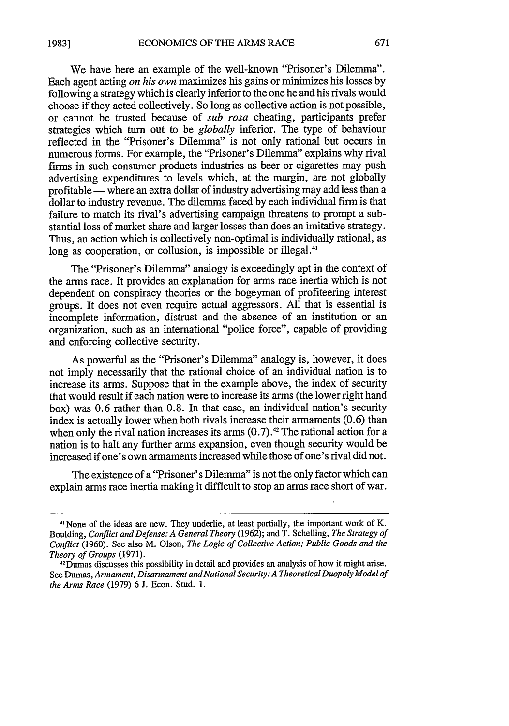671

We have here an example of the well-known "Prisoner's Dilemma". Each agent acting *on his own* maximizes his gains or minimizes his losses by following a strategy which is clearly inferior to the one he and his rivals would choose if they acted collectively. So long as collective action is not possible, or cannot be trusted because of *sub rosa* cheating, participants prefer strategies which turn out to be *globally* inferior. The type of behaviour reflected in the "Prisoner's Dilemma" is not only rational but occurs in numerous forms. For example, the "Prisoner's Dilemma" explains why rival firms in such consumer products industries as beer or cigarettes may push advertising expenditures to levels which, at the margin, are not globally profitable — where an extra dollar of industry advertising may add less than a dollar to industry revenue. The dilemma faced by each individual firm is that failure to match its rival's advertising campaign threatens to prompt a substantial loss of market share and larger losses than does an imitative strategy. Thus, an action which is collectively non-optimal is individually rational, as long as cooperation, or collusion, is impossible or illegal.<sup>41</sup>

The "Prisoner's Dilemma" analogy is exceedingly apt in the context of the arms race. It provides an explanation for arms race inertia which is not dependent on conspiracy theories or the bogeyman of profiteering interest groups. It does not even require actual aggressors. All that is essential is incomplete information, distrust and the absence of an institution or an organization, such as an international "police force", capable of providing and enforcing collective security.

As powerful as the "Prisoner's Dilemma" analogy is, however, it does not imply necessarily that the rational choice of an individual nation is to increase its arms. Suppose that in the example above, the index of security that would result if each nation were to increase its arms (the lower right hand box) was 0.6 rather than 0.8. In that case, an individual nation's security index is actually lower when both rivals increase their armaments (0.6) than when only the rival nation increases its arms  $(0.7)$ .<sup>42</sup> The rational action for a nation is to halt any further arms expansion, even though security would be increased if one's own armaments increased while those of one's rival did not.

The existence of a "Prisoner's Dilemma" is not the only factor which can explain arms race inertia making it difficult to stop an arms race short of war.

<sup>&</sup>quot;None of the ideas are new. They underlie, at least partially, the important work of K. Boulding, *Conflict and Defense: A General Theory* (1962); and T. Schelling, *The Strategy of Conflict* (1960). See also M. Olson, *The Logic of Collective Action; Public Goods and the Theory of Groups* (1971).

<sup>&</sup>quot;Dumas discusses this possibility in detail and provides an analysis of how it might arise. See Dumas, *Armament, Disarmament and National Security: A Theoretical Duopoly Model of the Arms Race* (1979) 6 J. Econ. Stud. **1.**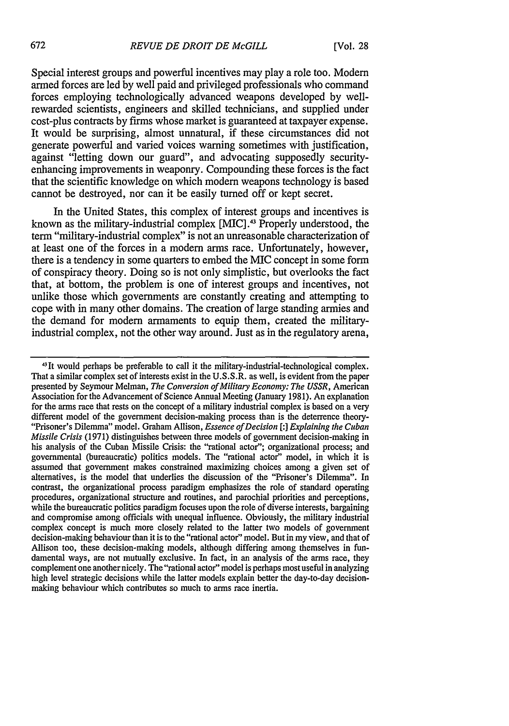Special interest groups and powerful incentives may play a role too. Modem armed forces are led by well paid and privileged professionals who command forces employing technologically advanced weapons developed by wellrewarded scientists, engineers and skilled technicians, and supplied under cost-plus contracts by firms whose market is guaranteed at taxpayer expense. It would be surprising, almost unnatural, if these circumstances did not generate powerful and varied voices warning sometimes with justification, against "letting down our guard", and advocating supposedly securityenhancing improvements in weaponry. Compounding these forces is the fact that the scientific knowledge on which modem weapons technology is based cannot be destroyed, nor can it be easily turned off or kept secret.

In the United States, this complex of interest groups and incentives is known as the military-industrial complex [MIC].43 Properly understood, the term "military-industrial complex" is not an unreasonable characterization of at least one of the forces in a modem arms race. Unfortunately, however, there is a tendency in some quarters to embed the MIC concept in some form of conspiracy theory. Doing so is not only simplistic, but overlooks the fact that, at bottom, the problem is one of interest groups and incentives, not unlike those which governments are constantly creating and attempting to cope with in many other domains. The creation of large standing armies and the demand for modem armaments to equip them, created the militaryindustrial complex, not the other way around. Just as in the regulatory arena,

<sup>&</sup>lt;sup>43</sup>It would perhaps be preferable to call it the military-industrial-technological complex. That a similar complex set of interests exist in the U.S.S.R. as well, is evident from the paper presented by Seymour Melman, *The Conversion of Military Economy: The USSR,* American Association for the Advancement of Science Annual Meeting (January 1981). An explanation for the arms race that rests on the concept of a military industrial complex is based on a very different model of the government decision-making process than is the deterrence theory- "Prisoner's Dilemma" model. Graham Allison, *Essence of Decision [:] Explaining the Cuban Missile Crisis* (1971) distinguishes between three models of government decision-making in his analysis of the Cuban Missile Crisis: the "rational actor"; organizational process; and governmental (bureaucratic) politics models. The "rational actor" model, in which it is assumed that government makes constrained maximizing choices among a given set of alternatives, is the model that underlies the discussion of the "Prisoner's Dilemma". In contrast, the organizational process paradigm emphasizes the role of standard operating procedures, organizational structure and routines, and parochial priorities and perceptions, while the bureaucratic politics paradigm focuses upon the role of diverse interests, bargaining and compromise among officials with unequal influence. Obviously, the military industrial complex concept is much more closely related to the latter two models of government decision-making behaviour than it is to the "rational actor" model. But in my view, and that of Allison too, these decision-making models, although differing among themselves in fundamental ways, are not mutually exclusive. In fact, in an analysis of the arms race, they complement one another nicely. The "rational actor" model is perhaps most useful in analyzing high level strategic decisions while the latter models explain better the day-to-day decisionmaking behaviour which contributes so much to arms race inertia.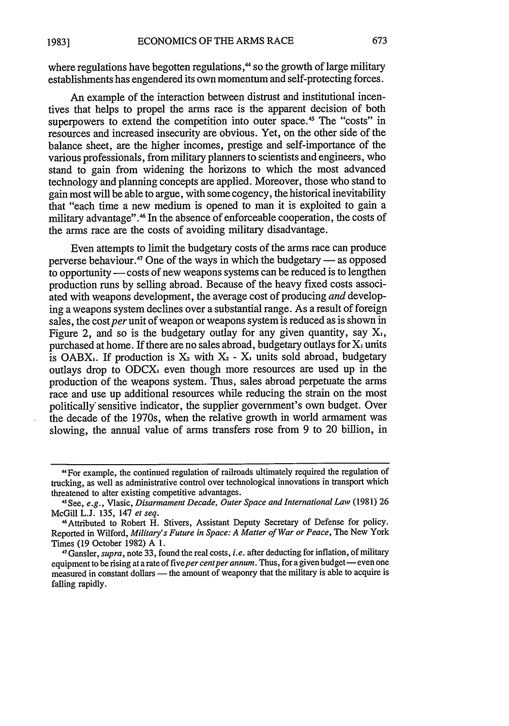where regulations have begotten regulations,<sup>44</sup> so the growth of large military establishments has engendered its own momentum and self-protecting forces.

An example of the interaction between distrust and institutional incentives that helps to propel the arms race is the apparent decision of both superpowers to extend the competition into outer space.<sup>45</sup> The "costs" in resources and increased insecurity are obvious. Yet, on the other side of the balance sheet, are the higher incomes, prestige and self-importance of the various professionals, from military planners to scientists and engineers, who stand to gain from widening the horizons to which the most advanced technology and planning concepts are applied. Moreover, those who stand to gain most will be able to argue, with some cogency, the historical inevitability that "each time a new medium is opened to man it is exploited to gain a military advantage".46 In the absence of enforceable cooperation, the costs of the arms race are the costs of avoiding military disadvantage.

Even attempts to limit the budgetary costs of the arms race can produce perverse behaviour.<sup>47</sup> One of the ways in which the budgetary  $-$  as opposed to opportunity - costs of new weapons systems can be reduced is to lengthen production runs by selling abroad. Because of the heavy fixed costs associated with weapons development, the average cost of producing *and* developing a weapons system declines over a substantial range. As a result of foreign sales, the cost per unit of weapon or weapons system is reduced as is shown in Figure 2, and so is the budgetary outlay for any given quantity, say  $X_i$ , purchased at home. If there are no sales abroad, budgetary outlays for  $X_1$  units is OABX<sub>1</sub>. If production is  $X_2$  with  $X_2$  - X<sub>1</sub> units sold abroad, budgetary outlays drop to ODCX, even though more resources are used up in the production of the weapons system. Thus, sales abroad perpetuate the arms race and use up additional resources while reducing the strain on the most politically' sensitive indicator, the supplier government's own budget. Over the decade of the 1970s, when the relative growth in world armament was slowing, the annual value of arms transfers rose from 9 to 20 billion, in

<sup>&</sup>quot; 4 For example, the continued regulation of railroads ultimately required the regulation of trucking, as well as administrative control over technological innovations in transport which threatened to alter existing competitive advantages.

**<sup>&</sup>quot;** See, e.g., Vlasic, *Disarmament Decade, Outer Space and International Law* (1981) 26 McGill L.J. 135, 147 *et seq.*

<sup>46</sup>Attributed to Robert H. Stivers, Assistant Deputy Secretary of Defense for policy. Reported in Wilford, *Military's Future in Space: A Matter of War or Peace,* The New York Times (19 October 1982) A 1.

<sup>47</sup> Gansler, *supra,* note 33, found the real costs, *i.e.* after deducting for inflation, of military equipment to be rising at a rate of five per cent per annum. Thus, for a given budget-even one measured in constant dollars - the amount of weaponry that the military is able to acquire is falling rapidly.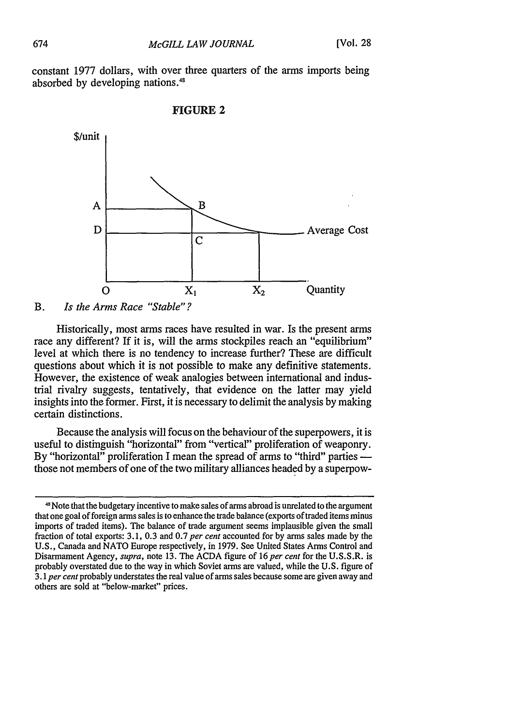constant 1977 dollars, with over three quarters of the arms imports being absorbed by developing nations.<sup>48</sup>





## B. *Is the Arms Race "Stable"?*

Historically, most arms races have resulted in war. Is the present arms race any different? If it is, will the arms stockpiles reach an "equilibrium" level at which there is no tendency to increase further? These are difficult questions about which it is not possible to make any definitive statements. However, the existence of weak analogies between international and industrial rivalry suggests, tentatively, that evidence on the latter may yield insights into the former. First, it is necessary to delimit the analysis by making certain distinctions.

Because the analysis will focus on the behaviour of the superpowers, it is useful to distinguish "horizontal" from "vertical" proliferation of weaponry. By "horizontal" proliferation I mean the spread of arms to "third" parties  $\frac{1}{\sqrt{2}}$ those not members of one of the two military alliances headed by a superpow-

<sup>4&#</sup>x27; Note that the budgetary incentive to make sales of arms abroad is unrelated to the argument that one goal of foreign arms sales is to enhance the trade balance (exports of traded items minus imports of traded items). The balance of trade argument seems implausible given the small fraction of total exports: 3.1, 0.3 and 0.7 *per cent* accounted for by arms sales made by the U.S., Canada and NATO Europe respectively, in 1979. See United States Arms Control and Disarmament Agency, *supra,* note 13. The ACDA figure of 16 *per cent* for the U.S.S.R. is probably overstated due to the way in which Soviet arms are valued, while the U.S. figure of *3.1 per cent* probably understates the real value of arms sales because some are given away and others are sold at "below-market" prices.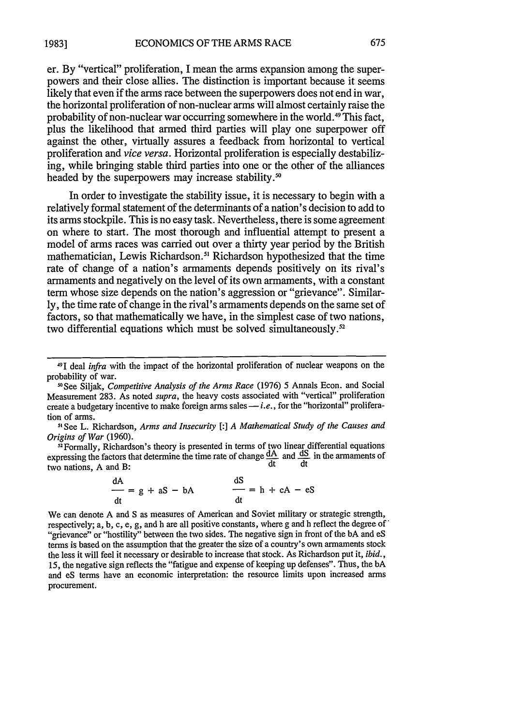er. By "vertical" proliferation, I mean the arms expansion among the superpowers and their close allies. The distinction is important because it seems likely that even if the arms race between the superpowers does not end in war, the horizontal proliferation of non-nuclear arms will almost certainly raise the probability of non-nuclear war occurring somewhere in the world. 49 This fact, plus the likelihood that armed third parties will play one superpower off against the other, virtually assures a feedback from horizontal to vertical proliferation and *vice versa.* Horizontal proliferation is especially destabilizing, while bringing stable third parties into one or the other of the alliances headed by the superpowers may increase stability.<sup>50</sup>

In order to investigate the stability issue, it is necessary to begin with a relatively formal statement of the determinants of a nation's decision to add to its arms stockpile. This is no easy task. Nevertheless, there is some agreement on where to start. The most thorough and influential attempt to present a model of arms races was carried out over a thirty year period by the British mathematician, Lewis Richardson.<sup>51</sup> Richardson hypothesized that the time rate of change of a nation's armaments depends positively on its rival's armaments and negatively on the level of its own armaments, with a constant term whose size depends on the nation's aggression or "grievance". Similarly, the time rate of change in the rival's armaments depends on the same set of factors, so that mathematically we have, in the simplest case of two nations, two differential equations which must be solved simultaneously.<sup>52</sup>

**11** See L. Richardson, *Arms and Insecurity [:] A Mathematical Study of the Causes and Origins of War* (1960).

<sup>52</sup> Formally, Richardson's theory is presented in terms of two linear differential equations expressing the factors that determine the time rate of change  $\frac{dA}{dt}$  and  $\frac{dS}{dt}$  in the armaments of two nations, A and B: dt dt

$$
\frac{dA}{dt} = g + aS - bA \qquad \qquad \frac{dS}{dt} = h + cA - eS
$$

We can denote A and S as measures of American and Soviet military or strategic strength, respectively; a, b, c, e, g, and h are all positive constants, where g and h reflect the degree of "grievance" or "hostility" between the two sides. The negative sign in front of the bA and eS terms is based on the assumption that the greater the size of a country's own armaments stock the less it will feel it necessary or desirable to increase that stock. As Richardson put it, *ibid.,* 15, the negative sign reflects the "fatigue and expense of keeping up defenses". Thus, the bA and eS terms have an economic interpretation: the resource limits upon increased arms procurement.

<sup>4&#</sup>x27;I deal *infra* with the impact of the horizontal proliferation of nuclear weapons on the probability of war.

<sup>-0</sup>See Siljak, *Competitive Analysis of the Arms Race* (1976) 5 Annals Econ. and Social Measurement 283. As noted *supra,* the heavy costs associated with "vertical" proliferation create a budgetary incentive to make foreign arms sales -*i.e.*, for the "horizontal" proliferation of arms.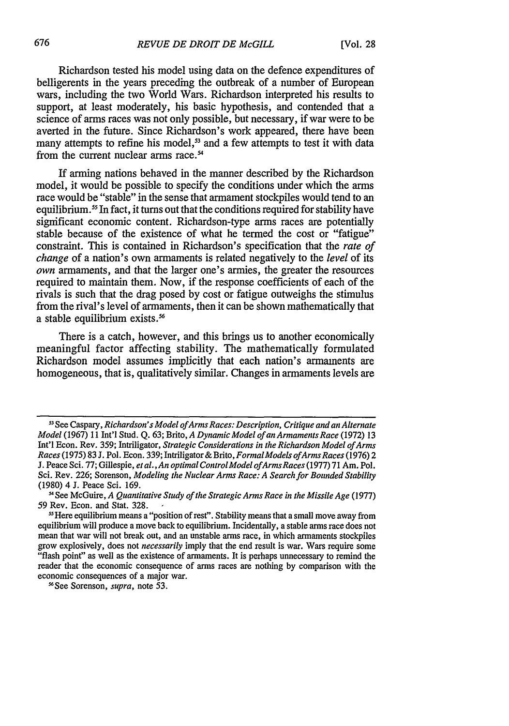Richardson tested his model using data on the defence expenditures of belligerents in the years preceding the outbreak of a number of European wars, including the two World Wars. Richardson interpreted his results to support, at least moderately, his basic hypothesis, and contended that a science of arms races was not only possible, but necessary, if war were to be averted in the future. Since Richardson's work appeared, there have been many attempts to refine his model,<sup>53</sup> and a few attempts to test it with data from the current nuclear arms race.<sup>54</sup>

If arming nations behaved in the manner described by the Richardson model, it would be possible to specify the conditions under which the arms race would be "stable" in the sense that armament stockpiles would tend to an equilibrium. 55 In fact, it turns out that the conditions required for stability have significant economic content. Richardson-type arms races are potentially stable because of the existence of what he termed the cost or "fatigue" constraint. This is contained in Richardson's specification that the *rate of change* of a nation's own armaments is related negatively to the *level* of its *own* armaments, and that the larger one's armies, the greater the resources required to maintain them. Now, if the response coefficients of each of the rivals is such that the drag posed by cost or fatigue outweighs the stimulus from the rival's level of armaments, then it can be shown mathematically that a stable equilibrium exists.<sup>56</sup>

There is a catch, however, and this brings us to another economically meaningful factor affecting stability. The mathematically formulated Richardson model assumes implicitly that each nation's armaments are homogeneous, that is, qualitatively similar. Changes in armaments levels are

-'See Sorenson, *supra,* note 53.

**<sup>51</sup>**See Caspary, *Richardson's Model ofArms Races: Description, Critique and an Alternate Model* (1967) 11 Int'l Stud. Q. 63; Brito, *A Dynamic Model of an Armaments Race* (1972) 13 Int'l Econ. Rev. 359; Intriligator, *Strategic Considerations in the Richardson Model of Arms Races* (1975) 83 J. Pol. Econ. 339; Intriligator **&** Brito, *FormalModels ofArmsRaces* (1976) 2 J. Peace Sci. 77; Gillespie, *et al., An optimal ControlModel ofArmsRaces* (1977) 71 Am. Pol. Sci. Rev. 226; Sorenson, *Modeling the Nuclear Arms Race: A Search for Bounded Stability* (1980) 4 J. Peace Sci. 169.

<sup>&#</sup>x27;See McGuire, *A Quantitative Study of the Strategic Arms Race in the Missile Age* (1977) 59 Rev. Econ. and Stat. 328. **-** 55 Here equilibrium means a "position of rest". Stability means that a small move away from

equilibrium will produce a move back to equilibrium. Incidentally, a stable arms race does not mean that war will not break out, and an unstable arms race, in which armaments stockpiles grow explosively, does not *necessarily* imply that the end result is war. Wars require some "flash point" as well as the existence of armaments. It is perhaps unnecessary to remind the reader that the economic consequence of arms races are nothing by comparison with the economic consequences of a major war.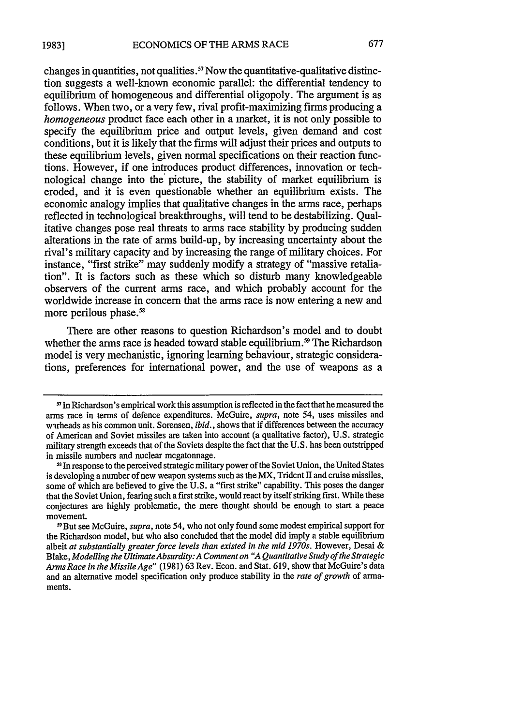changes in quantities, not qualities .57 Now the quantitative-qualitative distinction suggests a well-known economic parallel: the differential tendency to equilibrium of homogeneous and differential oligopoly. The argument is as follows. When two, or a very few, rival profit-maximizing firms producing a *homogeneous* product face each other in a market, it is not only possible to specify the equilibrium price and output levels, given demand and cost conditions, but it is likely that the firms will adjust their prices and outputs to these equilibrium levels, given normal specifications on their reaction functions. However, if one introduces product differences, innovation or technological change into the picture, the stability of market equilibrium is eroded, and it is even questionable whether an equilibrium exists. The economic analogy implies that qualitative changes in the arms race, perhaps reflected in technological breakthroughs, will tend to be destabilizing. Qualitative changes pose real threats to arms race stability by producing sudden alterations in the rate of arms build-up, by increasing uncertainty about the rival's military capacity and by increasing the range of military choices. For instance, "first strike" may suddenly modify a strategy of "massive retaliation". It is factors such as these which so disturb many knowledgeable observers of the current arms race, and which probably account for the worldwide increase in concern that the arms race is now entering a new and more perilous phase.<sup>58</sup>

There are other reasons to question Richardson's model and to doubt whether the arms race is headed toward stable equilibrium.<sup>59</sup> The Richardson model is very mechanistic, ignoring learning behaviour, strategic considerations, preferences for international power, and the use of weapons as a

**<sup>51</sup>**In Richardson's empirical work this assumption is reflected in the fact that he measured the arms race in terms of defence expenditures. McGuire, *supra,* note 54, uses missiles and warheads as his common unit. Sorensen, *ibid.*, shows that if differences between the accuracy of American and Soviet missiles are taken into account (a qualitative factor), U.S. strategic military strength exceeds that of the Soviets despite the fact that the U.S. has been outstripped in missile numbers and nuclear megatonnage.<br><sup>58</sup> In response to the perceived strategic military power of the Soviet Union, the United States

is developing a number of new weapon systems such as the MX, Trident II and cruise missiles, some of which are believed to give the U.S. a "first strike" capability. This poses the danger that the Soviet Union, fearing such a first strike, would react by itself striking first. While these conjectures are highly problematic, the mere thought should be enough to start a peace movement.

<sup>59</sup> But see McGuire, *supra,* note 54, who not only found some modest empirical support for the Richardson model, but who also concluded that the model did imply a stable equilibrium albeit at substantially greater force levels than existed in the mid 1970s. However, Desai & Blake, *Modelling the Ultimate Absurdity: A Comment on "A Quantitative Study of the Strategic Arms Race in the Missile Age"* (1981) 63 Rev. Econ. and Stat. 619, show that McGuire's data and an alternative model specification only produce stability in the *rate of growth* of armaments.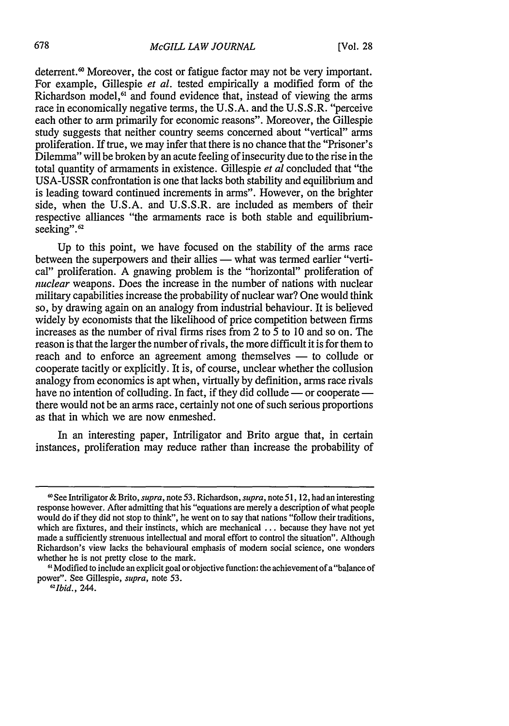deterrent.<sup>60</sup> Moreover, the cost or fatigue factor may not be very important. For example, Gillespie *et al.* tested empirically a modified form of the Richardson model,<sup>61</sup> and found evidence that, instead of viewing the arms race in economically negative terms, the U.S.A. and the U.S.S.R. "perceive each other to arm primarily for economic reasons". Moreover, the Gillespie study suggests that neither country seems concerned about "vertical" arms proliferation. If true, we may infer that there is no chance that the "Prisoner's Dilemma" will be broken by an acute feeling of insecurity due to the rise in the total quantity of armaments in existence. Gillespie *et al* concluded that "the USA-USSR confrontation is one that lacks both stability and equilibrium and is leading toward continued increments in arms". However, on the brighter side, when the U.S.A. and U.S.S.R. are included as members of their respective alliances "the armaments race is both stable and equilibriumseeking".<sup>62</sup>

Up to this point, we have focused on the stability of the arms race between the superpowers and their allies - what was termed earlier "vertical" proliferation. A gnawing problem is the "horizontal" proliferation of *nuclear* weapons. Does the increase in the number of nations with nuclear military capabilities increase the probability of nuclear war? One would think so, by drawing again on an analogy from industrial behaviour. It is believed widely by economists that the likelihood of price competition between firms increases as the number of rival firms rises from 2 to  $\overline{5}$  to 10 and so on. The reason is that the larger the number of rivals, the more difficult it is for them to reach and to enforce an agreement among themselves **-** to collude or cooperate tacitly or explicitly. It is, of course, unclear whether the collusion analogy from economics is apt when, virtually by definition, arms race rivals have no intention of colluding. In fact, if they did collude — or cooperate there would not be an arms race, certainly not one of such serious proportions as that in which we are now enmeshed.

In an interesting paper, Intriligator and Brito argue that, in certain instances, proliferation may reduce rather than increase the probability of

**<sup>60</sup>**See Intriligator **&** Brito, *supra,* note 53. Richardson, *supra,* note **51,** 12, had an interesting response however. After admitting that his "equations are merely a description of what people would do if they did not stop to think", he went on to say that nations "follow their traditions, which are fixtures, and their instincts, which are mechanical **...** because they have not yet made a sufficiently strenuous intellectual and moral effort to control the situation". Although Richardson's view lacks the behavioural emphasis of modem social science, one wonders whether he is not pretty close to the mark.

**<sup>61</sup>** Modified to include an explicit goal or objective function: the achievement of a "balance of power". See Gillespie, *supra,* note 53.

*<sup>2</sup> 1bid.,* 244.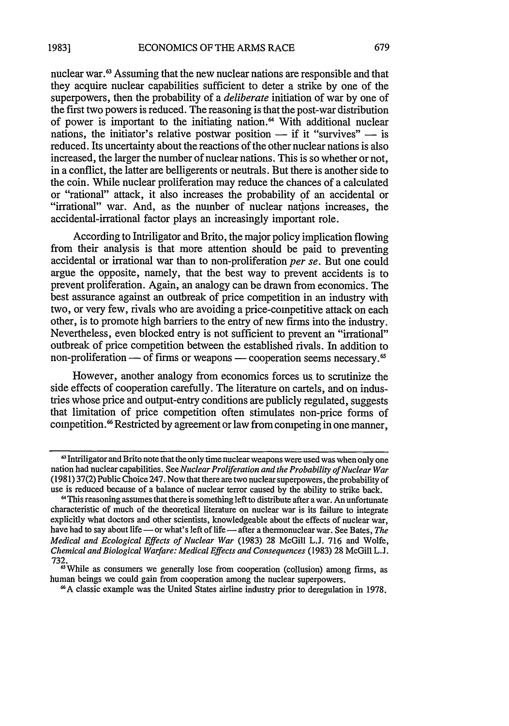nuclear war.<sup>63</sup> Assuming that the new nuclear nations are responsible and that they acquire nuclear capabilities sufficient to deter a strike by one of the superpowers, then the probability of a *deliberate* initiation of war by one of the first two powers is reduced. The reasoning is that the post-war distribution of power is important to the initiating nation.<sup>64</sup> With additional nuclear nations, the initiator's relative postwar position  $-$  if it "survives"  $-$  is reduced. Its uncertainty about the reactions of the other nuclear nations is also increased, the larger the number of nuclear nations. This is so whether or not, in a conflict, the latter are belligerents or neutrals. But there is another side to the coin. While nuclear proliferation may reduce the chances of a calculated or "rational" attack, it also increases the probability **9f** an accidental or "irrational" war. And, as the number of nuclear nations increases, the accidental-irrational factor plays an increasingly important role.

According to Intriligator and Brito, the major policy implication flowing from their analysis is that more attention should be paid to preventing accidental or irrational war than to non-proliferation *per se.* But one could argue the opposite, namely, that the best way to prevent accidents is to prevent proliferation. Again, an analogy can be drawn from economics. The best assurance against an outbreak of price competition in an industry with two, or very few, rivals who are avoiding a price-competitive attack on each other, is to promote high barriers to the entry of new firms into the industry. Nevertheless, even blocked entry is not sufficient to prevent an "irrational" outbreak of price competition between the established rivals. In addition to non-proliferation  $\sim$  of firms or weapons  $-$  cooperation seems necessary.<sup>65</sup>

However, another analogy from economics forces us to scrutinize the side effects of cooperation carefully. The literature on cartels, and on industries whose price and output-entry conditions are publicly regulated, suggests that limitation of price competition often stimulates non-price forms of competition.<sup>66</sup> Restricted by agreement or law from competing in one manner,

<sup>&</sup>lt;sup>63</sup> Intriligator and Brito note that the only time nuclear weapons were used was when only one nation had nuclear capabilities. See *Nuclear Proliferation and the Probability of Nuclear War* (1981) 37(2) Public Choice 247. Now that there are two nuclear superpowers, the probability of use is reduced because of a balance of nuclear terror caused by the ability to strike back.

**<sup>&#</sup>x27;** This reasoning assumes that there is something left to distribute after a war. An unfortunate characteristic of much of the theoretical literature on nuclear war is its failure to integrate explicitly what doctors and other scientists, knowledgeable about the effects of nuclear war, have had to say about life — or what's left of life — after a thermonuclear war. See Bates, *The Medical and Ecological Effects of Nuclear War* (1983) 28 McGill L.J. 716 and Wolfe, *Chemical and Biological Warfare: Medical Effects and Consequences* (1983) 28 McGill L.J. 732.

<sup>&</sup>lt;sup>6</sup>While as consumers we generally lose from cooperation (collusion) among firms, as human beings we could gain from cooperation among the nuclear superpowers.

**<sup>16</sup>A** classic example was the United States airline industry prior to deregulation in 1978.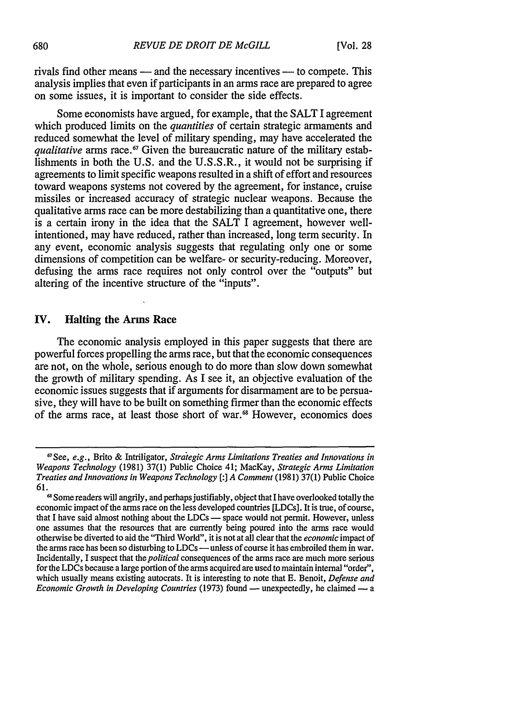rivals find other means — and the necessary incentives — to compete. This analysis implies that even if participants in an arms race are prepared to agree on some issues, it is important to consider the side effects.

Some economists have argued, for example, that the SALT I agreement which produced limits on the *quantities* of certain strategic armaments and reduced somewhat the level of military spending, may have accelerated the *qualitative* arms race.<sup>67</sup> Given the bureaucratic nature of the military establishments in both the U.S. and the U.S.S.R., it would not be surprising if agreements to limit specific weapons resulted in a shift of effort and resources toward weapons systems not covered by the agreement, for instance, cruise missiles or increased accuracy of strategic nuclear weapons. Because the qualitative arms race can be more destabilizing than a quantitative one, there is a certain irony in the idea that the SALT I agreement, however wellintentioned, may have reduced, rather than increased, long term security. In any event, economic analysis suggests that regulating only one or some dimensions of competition can be welfare- or security-reducing. Moreover, defusing the arms race requires not only control over the "outputs" but altering of the incentive structure of the "inputs".

### **IV.** Halting the Arms Race

The economic analysis employed in this paper suggests that there are powerful forces propelling the arms race, but that the economic consequences are not, on the whole, serious enough to do more than slow down somewhat the growth of military spending. As I see it, an objective evaluation of the economic issues suggests that if arguments for disarmament are to be persuasive, they will have to be built on something firmer than the economic effects of the arms race, at least those short of war.6 However, economics does

<sup>67</sup>See, *e.g.,* Brito & Intriligator, *Strategic Arms Limitations Treaties and Innovations in Weapons Technology* (1981) 37(1) Public Choice 41; MacKay, *Strategic Arms Limitation Treaties and Innovations in Weapons Technology [:J A Comment* (1981) 37(1) Public Choice 61.

<sup>&</sup>lt;sup>68</sup> Some readers will angrily, and perhaps justifiably, object that I have overlooked totally the economic impact of the arms race on the less developed countries [LDCs]. It is true, of course, that I have said almost nothing about the LDCs - space would not permit. However, unless one assumes that the resources that are currently being poured into the arms race would otherwise be diverted to aid the "Third World", it is not at all clear that the *economic* impact of the arms race has been so disturbing to LDCs — unless of course it has embroiled them in war. Incidentally, I suspect that *the political* consequences of the arms race are much more serious for the LDCs because a large portion of the arms acquired are used to maintain internal "order", which usually means existing autocrats. It is interesting to note that E. Benoit, *Defense and Economic Growth in Developing Countries* (1973) found — unexpectedly, he claimed — a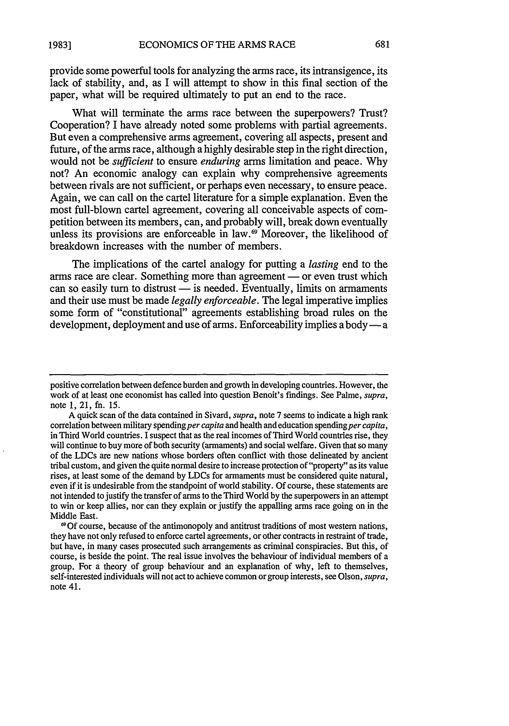provide some powerful tools for analyzing the arms race, its intransigence, its lack of stability, and, as I will attempt to show in this final section of the paper, what will be required ultimately to put an end to the race.

What will terminate the arms race between the superpowers? Trust? Cooperation? I have already noted some problems with partial agreements. But even a comprehensive arms agreement, covering all aspects, present and future, of the arms race, although a highly desirable step in the right direction, would not be *sufficient* to ensure *enduring* arms limitation and peace. Why not? An economic analogy can explain why comprehensive agreements between rivals are not sufficient, or perhaps even necessary, to ensure peace. Again, we can call on the cartel literature for a simple explanation. Even the most full-blown cartel agreement, covering all conceivable aspects of competition between its members, can, and probably will, break down eventually unless its provisions are enforceable in law.<sup>69</sup> Moreover, the likelihood of breakdown increases with the number of members.

The implications of the cartel analogy for putting a *lasting* end to the arms race are clear. Something more than agreement — or even trust which can so easily turn to distrust - is needed. Eventually, limits on armaments and their use must be made *legally enforceable.* The legal imperative implies some form of "constitutional" agreements establishing broad rules on the development, deployment and use of arms. Enforceability implies a body - a

positive correlation between defence burden and growth in developing countries. However, the work of at least one economist has called into question Benoit's findings. See Palme, *supra,* note 1, 21, fn. 15.

A quick scan of the data contained in Sivard, *supra,* note 7 seems to indicate a high rank correlation between military spending *per capita* and health and education spending *per capita*, in Third World countries. I suspect that as the real incomes of Third World countries rise, they will continue to buy more of both security (armaments) and social welfare. Given that so many of the LDCs are new nations whose borders often conflict with those delineated by ancient tribal custom, and given the quite normal desire to increase protection of "property" as its value rises, at least some of the demand by LDCs for armaments must be considered quite natural, even if it is undesirable from the standpoint of world stability. Of course, these statements are not intended to justify the transfer of arms to the Third World by the superpowers in an attempt to win or keep allies, nor can they explain or justify the appalling arms race going on in the Middle East.

**<sup>6</sup>**Of course, because of the antimonopoly and antitrust traditions of most western nations, they have not only refused to enforce cartel agreements, or other contracts in restraint of trade, but have, in many cases prosecuted such arrangements as criminal conspiracies. But this, of course, is beside the point. The real issue involves the behaviour of individual members of a group. For a theory of group behaviour and an explanation of why, left to themselves, self-interested individuals will not act to achieve common or group interests, see Olson, *supra,* note 41.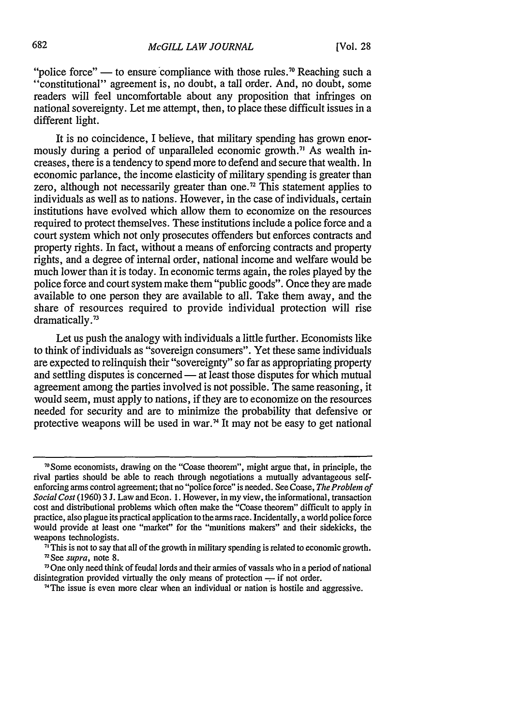"police force" — to ensure compliance with those rules.<sup>70</sup> Reaching such a "constitutional" agreement is, no doubt, a tall order. And, no doubt, some readers will feel uncomfortable about any proposition that infringes on national sovereignty. Let me attempt, then, to place these difficult issues in a different light.

It is no coincidence, I believe, that military spending has grown enormously during a period of unparalleled economic growth.<sup>71</sup> As wealth increases, there is a tendency to spend more to defend and secure that wealth. In economic parlance, the income elasticity of military spending is greater than zero, although not necessarily greater than one.<sup>72</sup> This statement applies to individuals as well as to nations. However, in the case of individuals, certain institutions have evolved which allow them to economize on the resources required to protect themselves. These institutions include a police force and a court system which not only prosecutes offenders but enforces contracts and property rights. In fact, without a means of enforcing contracts and property rights, and a degree of internal order, national income and welfare would be much lower than it is today. In economic terms again, the roles played by the police force and court system make them "public goods". Once they are made available to one person they are available to all. Take them away, and the share of resources required to provide individual protection will rise dramatically.<sup>73</sup>

Let us push the analogy with individuals a little further. Economists like to think of individuals as "sovereign consumers". Yet these same individuals are expected to relinquish their "sovereignty" so far as appropriating property and settling disputes is concerned — at least those disputes for which mutual agreement among the parties involved is not possible. The same reasoning, it would seem, must apply to nations, if they are to economize on the resources needed for security and are to minimize the probability that defensive or protective weapons will be used in war.<sup>74</sup> It may not be easy to get national

<sup>7</sup> Some economists, drawing on the "Coase theorem", might argue that, in principle, the rival parties should be able to reach through negotiations a mutually advantageous selfenforcing arms control agreement; that no "police force" is needed. See Coase, *The Problem of Social Cost* (1960) 3 J. Law and Econ. 1. However, in my view, the informational, transaction cost and distributional problems which often make the "Coase theorem" difficult to apply in practice, also plague its practical application to the arms race. Incidentally, a world police force would provide at least one "market" for the "munitions makers" and their sidekicks, the

weapons technologists.<br><sup>71</sup>This is not to say that all of the growth in military spending is related to economic growth. 'See *supra,* note 8.

<sup>73</sup>One only need think of feudal lords and their armies of vassals who in a period of national disintegration provided virtually the only means of protection  $-$ - if not order.

<sup>&</sup>lt;sup>74</sup>The issue is even more clear when an individual or nation is hostile and aggressive.